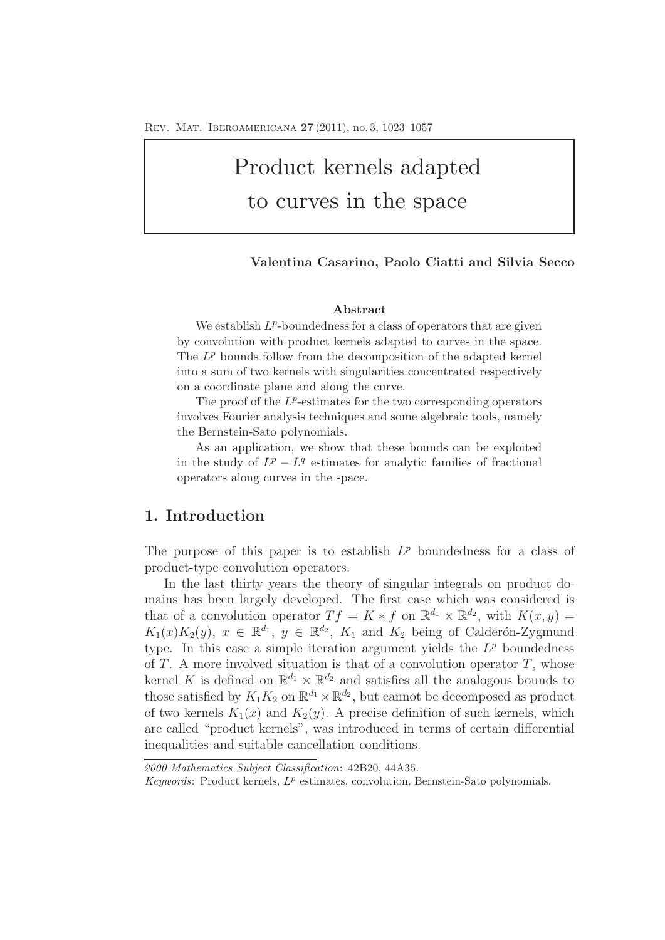# Product kernels adapted to curves in the space

#### **Valentina Casarino, Paolo Ciatti and Silvia Secco**

#### **Abstract**

We establish  $L^p$ -boundedness for a class of operators that are given by convolution with product kernels adapted to curves in the space. The  $L^p$  bounds follow from the decomposition of the adapted kernel into a sum of two kernels with singularities concentrated respectively on a coordinate plane and along the curve.

The proof of the  $L^p$ -estimates for the two corresponding operators involves Fourier analysis techniques and some algebraic tools, namely the Bernstein-Sato polynomials.

As an application, we show that these bounds can be exploited in the study of  $L^p - L^q$  estimates for analytic families of fractional operators along curves in the space.

# **1. Introduction**

The purpose of this paper is to establish  $L^p$  boundedness for a class of product-type convolution operators.

In the last thirty years the theory of singular integrals on product domains has been largely developed. The first case which was considered is that of a convolution operator  $T f = K * f$  on  $\mathbb{R}^{d_1} \times \mathbb{R}^{d_2}$ , with  $K(x, y) =$  $K_1(x)K_2(y), x \in \mathbb{R}^{d_1}$ ,  $y \in \mathbb{R}^{d_2}$ ,  $K_1$  and  $K_2$  being of Calderón-Zygmund type. In this case a simple iteration argument yields the  $L^p$  boundedness of  $T$ . A more involved situation is that of a convolution operator  $T$ , whose kernel K is defined on  $\mathbb{R}^{d_1} \times \mathbb{R}^{d_2}$  and satisfies all the analogous bounds to those satisfied by  $K_1K_2$  on  $\mathbb{R}^{d_1} \times \mathbb{R}^{d_2}$ , but cannot be decomposed as product of two kernels  $K_1(x)$  and  $K_2(y)$ . A precise definition of such kernels, which are called "product kernels", was introduced in terms of certain differential inequalities and suitable cancellation conditions.

*2000 Mathematics Subject Classification*: 42B20, 44A35.

*Keywords*: Product kernels, L*<sup>p</sup>* estimates, convolution, Bernstein-Sato polynomials.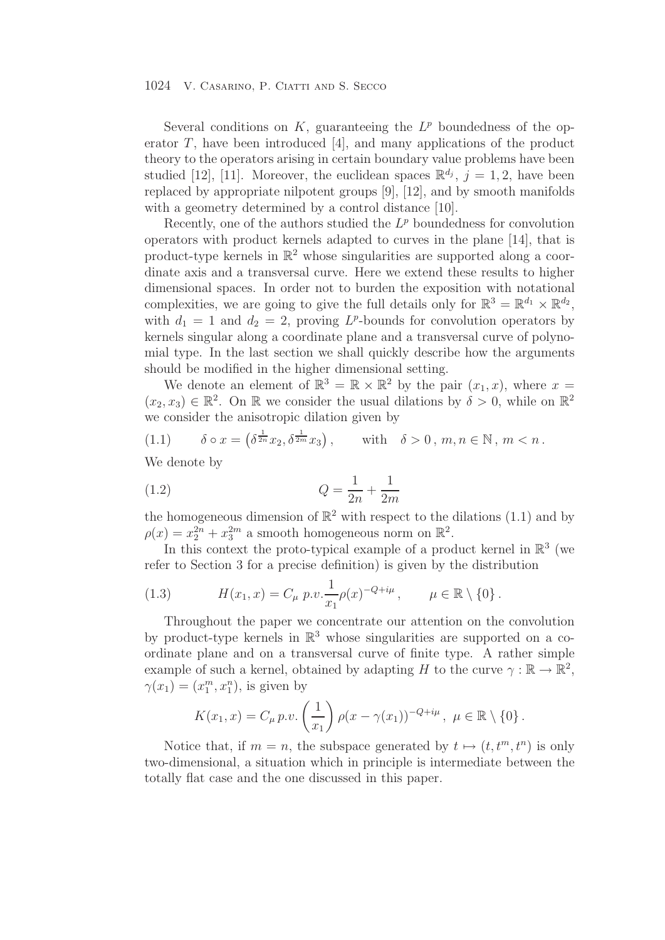Several conditions on K, guaranteeing the  $L^p$  boundedness of the operator  $T$ , have been introduced [4], and many applications of the product theory to the operators arising in certain boundary value problems have been studied [12], [11]. Moreover, the euclidean spaces  $\mathbb{R}^{d_j}$ ,  $j = 1, 2$ , have been replaced by appropriate nilpotent groups [9], [12], and by smooth manifolds with a geometry determined by a control distance [10].

Recently, one of the authors studied the  $L^p$  boundedness for convolution operators with product kernels adapted to curves in the plane [14], that is product-type kernels in  $\mathbb{R}^2$  whose singularities are supported along a coordinate axis and a transversal curve. Here we extend these results to higher dimensional spaces. In order not to burden the exposition with notational complexities, we are going to give the full details only for  $\mathbb{R}^3 = \mathbb{R}^{d_1} \times \mathbb{R}^{d_2}$ , with  $d_1 = 1$  and  $d_2 = 2$ , proving  $L^p$ -bounds for convolution operators by kernels singular along a coordinate plane and a transversal curve of polynomial type. In the last section we shall quickly describe how the arguments should be modified in the higher dimensional setting.

We denote an element of  $\mathbb{R}^3 = \mathbb{R} \times \mathbb{R}^2$  by the pair  $(x_1, x)$ , where  $x =$  $(x_2, x_3) \in \mathbb{R}^2$ . On R we consider the usual dilations by  $\delta > 0$ , while on  $\mathbb{R}^2$ we consider the anisotropic dilation given by

(1.1) 
$$
\delta \circ x = \left( \delta^{\frac{1}{2n}} x_2, \delta^{\frac{1}{2m}} x_3 \right), \quad \text{with} \quad \delta > 0, m, n \in \mathbb{N}, m < n.
$$

We denote by

(1.2) 
$$
Q = \frac{1}{2n} + \frac{1}{2m}
$$

the homogeneous dimension of  $\mathbb{R}^2$  with respect to the dilations (1.1) and by  $\rho(x) = x_2^{2n} + x_3^{2m}$  a smooth homogeneous norm on  $\mathbb{R}^2$ .

In this context the proto-typical example of a product kernel in  $\mathbb{R}^3$  (we refer to Section 3 for a precise definition) is given by the distribution

(1.3) 
$$
H(x_1, x) = C_{\mu} p.v. \frac{1}{x_1} \rho(x)^{-Q+i\mu}, \qquad \mu \in \mathbb{R} \setminus \{0\}.
$$

Throughout the paper we concentrate our attention on the convolution by product-type kernels in  $\mathbb{R}^3$  whose singularities are supported on a coordinate plane and on a transversal curve of finite type. A rather simple example of such a kernel, obtained by adapting H to the curve  $\gamma : \mathbb{R} \to \mathbb{R}^2$ ,  $\gamma(x_1)=(x_1^m, x_1^n)$ , is given by

$$
K(x_1, x) = C_{\mu} p.v. \left(\frac{1}{x_1}\right) \rho(x - \gamma(x_1))^{-Q + i\mu}, \ \mu \in \mathbb{R} \setminus \{0\}.
$$

Notice that, if  $m = n$ , the subspace generated by  $t \mapsto (t, t^m, t^n)$  is only two-dimensional, a situation which in principle is intermediate between the totally flat case and the one discussed in this paper.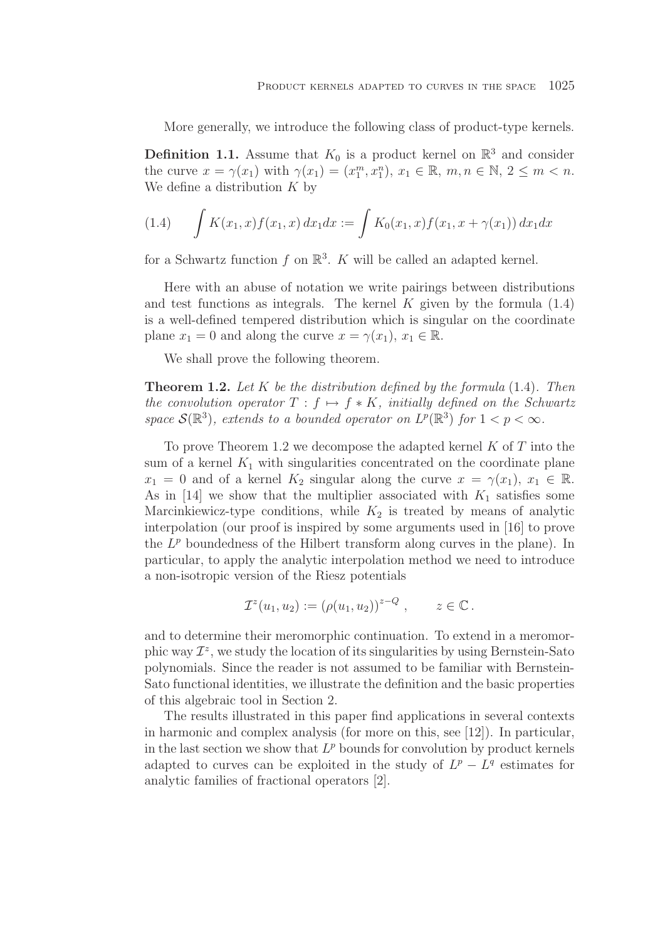More generally, we introduce the following class of product-type kernels.

**Definition 1.1.** Assume that  $K_0$  is a product kernel on  $\mathbb{R}^3$  and consider the curve  $x = \gamma(x_1)$  with  $\gamma(x_1) = (x_1^m, x_1^n), x_1 \in \mathbb{R}, m, n \in \mathbb{N}, 2 \leq m < n$ . We define a distribution  $K$  by

(1.4) 
$$
\int K(x_1, x) f(x_1, x) dx_1 dx := \int K_0(x_1, x) f(x_1, x + \gamma(x_1)) dx_1 dx
$$

for a Schwartz function f on  $\mathbb{R}^3$ . K will be called an adapted kernel.

Here with an abuse of notation we write pairings between distributions and test functions as integrals. The kernel  $K$  given by the formula  $(1.4)$ is a well-defined tempered distribution which is singular on the coordinate plane  $x_1 = 0$  and along the curve  $x = \gamma(x_1), x_1 \in \mathbb{R}$ .

We shall prove the following theorem.

**Theorem 1.2.** *Let* K *be the distribution defined by the formula* (1.4)*. Then the convolution operator*  $T : f \mapsto f * K$ *, initially defined on the Schwartz space*  $\mathcal{S}(\mathbb{R}^3)$ *, extends to a bounded operator on*  $L^p(\mathbb{R}^3)$  *for*  $1 < p < \infty$ *.* 

To prove Theorem 1.2 we decompose the adapted kernel  $K$  of  $T$  into the sum of a kernel  $K_1$  with singularities concentrated on the coordinate plane  $x_1 = 0$  and of a kernel  $K_2$  singular along the curve  $x = \gamma(x_1), x_1 \in \mathbb{R}$ . As in  $[14]$  we show that the multiplier associated with  $K_1$  satisfies some Marcinkiewicz-type conditions, while  $K_2$  is treated by means of analytic interpolation (our proof is inspired by some arguments used in [16] to prove the  $L^p$  boundedness of the Hilbert transform along curves in the plane). In particular, to apply the analytic interpolation method we need to introduce a non-isotropic version of the Riesz potentials

$$
\mathcal{I}^z(u_1, u_2) := (\rho(u_1, u_2))^{z-Q} , \qquad z \in \mathbb{C} .
$$

and to determine their meromorphic continuation. To extend in a meromorphic way  $\mathcal{I}^z$ , we study the location of its singularities by using Bernstein-Sato polynomials. Since the reader is not assumed to be familiar with Bernstein-Sato functional identities, we illustrate the definition and the basic properties of this algebraic tool in Section 2.

The results illustrated in this paper find applications in several contexts in harmonic and complex analysis (for more on this, see [12]). In particular, in the last section we show that  $L^p$  bounds for convolution by product kernels adapted to curves can be exploited in the study of  $L^p - L^q$  estimates for analytic families of fractional operators [2].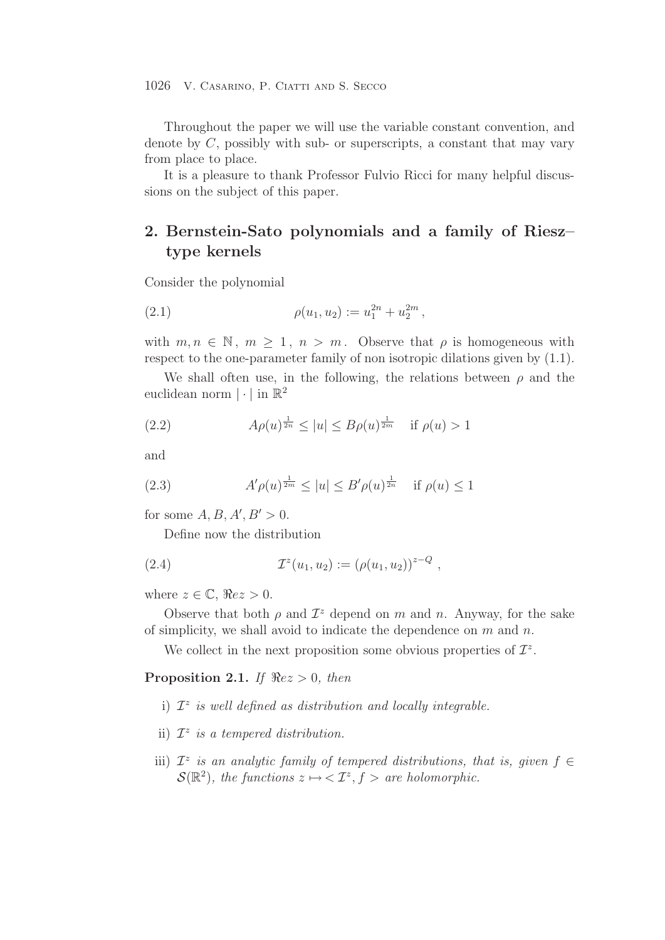Throughout the paper we will use the variable constant convention, and denote by  $C$ , possibly with sub- or superscripts, a constant that may vary from place to place.

It is a pleasure to thank Professor Fulvio Ricci for many helpful discussions on the subject of this paper.

# **2. Bernstein-Sato polynomials and a family of Riesz– type kernels**

Consider the polynomial

(2.1) 
$$
\rho(u_1, u_2) := u_1^{2n} + u_2^{2m},
$$

with  $m, n \in \mathbb{N}$ ,  $m \geq 1$ ,  $n > m$ . Observe that  $\rho$  is homogeneous with respect to the one-parameter family of non isotropic dilations given by (1.1).

We shall often use, in the following, the relations between  $\rho$  and the euclidean norm  $|\cdot|$  in  $\mathbb{R}^2$ 

(2.2) 
$$
A\rho(u)^{\frac{1}{2n}} \le |u| \le B\rho(u)^{\frac{1}{2m}}
$$
 if  $\rho(u) > 1$ 

and

(2.3) 
$$
A' \rho(u)^{\frac{1}{2m}} \le |u| \le B' \rho(u)^{\frac{1}{2n}}
$$
 if  $\rho(u) \le 1$ 

for some  $A, B, A', B' > 0$ .

Define now the distribution

(2.4) 
$$
\mathcal{I}^z(u_1, u_2) := (\rho(u_1, u_2))^{z-Q},
$$

where  $z \in \mathbb{C}$ ,  $\Re ez > 0$ .

Observe that both  $\rho$  and  $\mathcal{I}^z$  depend on m and n. Anyway, for the sake of simplicity, we shall avoid to indicate the dependence on  $m$  and  $n$ .

We collect in the next proposition some obvious properties of  $\mathcal{I}^z$ .

**Proposition 2.1.** *If*  $\Re ez > 0$ *, then* 

- i)  $\mathcal{I}^z$  *is well defined as distribution and locally integrable.*
- ii)  $\mathcal{I}^z$  *is a tempered distribution.*
- iii)  $\mathcal{I}^z$  *is an analytic family of tempered distributions, that is, given*  $f \in$  $\mathcal{S}(\mathbb{R}^2)$ , the functions  $z \mapsto \langle \mathcal{I}^z, f \rangle$  are holomorphic.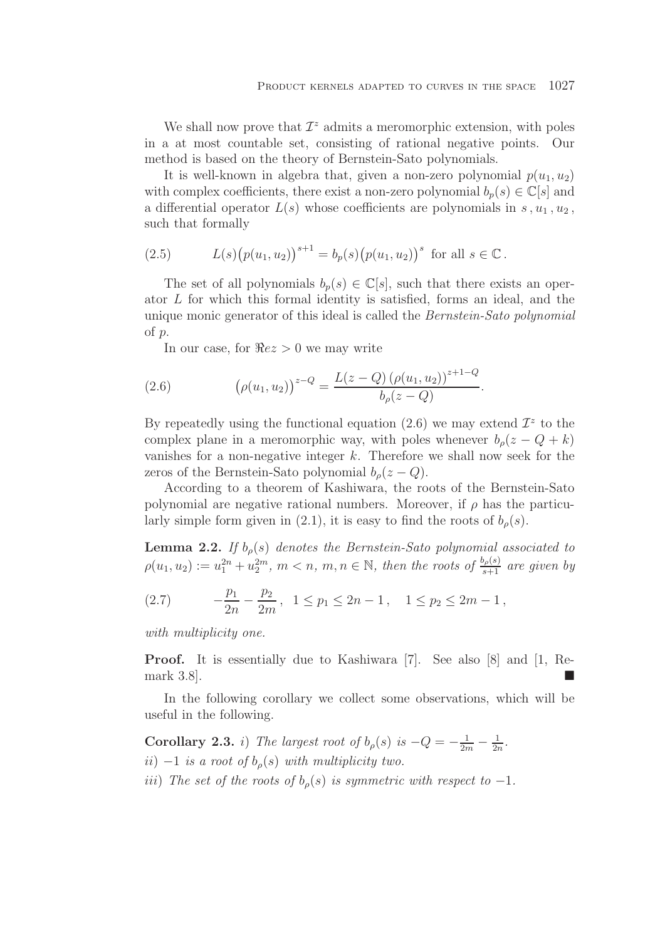We shall now prove that  $\mathcal{I}^z$  admits a meromorphic extension, with poles in a at most countable set, consisting of rational negative points. Our method is based on the theory of Bernstein-Sato polynomials.

It is well-known in algebra that, given a non-zero polynomial  $p(u_1, u_2)$ with complex coefficients, there exist a non-zero polynomial  $b_n(s) \in \mathbb{C}[s]$  and a differential operator  $L(s)$  whose coefficients are polynomials in s,  $u_1$ ,  $u_2$ , such that formally

(2.5) 
$$
L(s)\big(p(u_1, u_2)\big)^{s+1} = b_p(s)\big(p(u_1, u_2)\big)^s \text{ for all } s \in \mathbb{C}.
$$

The set of all polynomials  $b_p(s) \in \mathbb{C}[s]$ , such that there exists an operator L for which this formal identity is satisfied, forms an ideal, and the unique monic generator of this ideal is called the *Bernstein-Sato polynomial* of p.

In our case, for  $\Re ez > 0$  we may write

(2.6) 
$$
\left(\rho(u_1, u_2)\right)^{z-Q} = \frac{L(z-Q)\left(\rho(u_1, u_2)\right)^{z+1-Q}}{b_\rho(z-Q)}.
$$

By repeatedly using the functional equation (2.6) we may extend  $\mathcal{I}^z$  to the complex plane in a meromorphic way, with poles whenever  $b<sub>o</sub>(z - Q + k)$ vanishes for a non-negative integer  $k$ . Therefore we shall now seek for the zeros of the Bernstein-Sato polynomial  $b_{\rho}(z - Q)$ .

According to a theorem of Kashiwara, the roots of the Bernstein-Sato polynomial are negative rational numbers. Moreover, if  $\rho$  has the particularly simple form given in (2.1), it is easy to find the roots of  $b<sub>o</sub>(s)$ .

**Lemma 2.2.** *If*  $b_{\rho}(s)$  *denotes the Bernstein-Sato polynomial associated to*  $\rho(u_1, u_2) := u_1^{2n} + u_2^{2m}, \ m < n, \ m, n \in \mathbb{N}$ , then the roots of  $\frac{b_\rho(s)}{s+1}$  are given by

(2.7) 
$$
-\frac{p_1}{2n} - \frac{p_2}{2m}, \quad 1 \le p_1 \le 2n - 1, \quad 1 \le p_2 \le 2m - 1,
$$

*with multiplicity one.*

**Proof.** It is essentially due to Kashiwara [7]. See also [8] and [1, Remark  $3.8$ ].

In the following corollary we collect some observations, which will be useful in the following.

**Corollary 2.3.** *i*) *The largest root of*  $b_{\rho}(s)$  *is*  $-Q = -\frac{1}{2m} - \frac{1}{2n}$ .  $ii)$  −1 *is a root of*  $b_{\rho}(s)$  *with multiplicity two. iii*) The set of the roots of  $b<sub>o</sub>(s)$  *is symmetric with respect to*  $-1$ *.*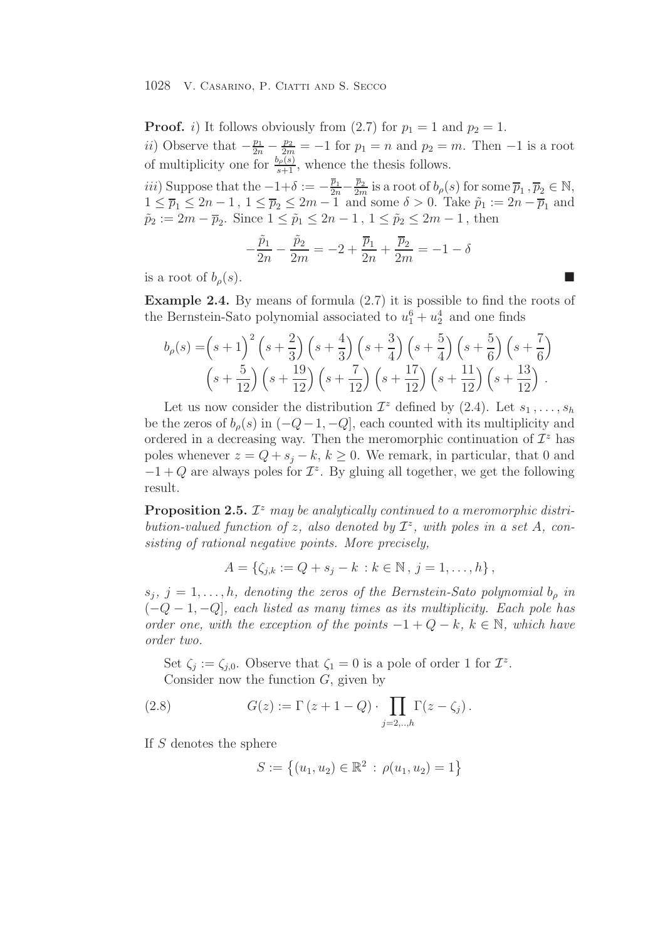**Proof.** i) It follows obviously from (2.7) for  $p_1 = 1$  and  $p_2 = 1$ . ii) Observe that  $-\frac{p_1}{2n} - \frac{p_2}{2m} = -1$  for  $p_1 = n$  and  $p_2 = m$ . Then  $-1$  is a root of multiplicity one for  $\frac{b_{\rho(s)}(s)}{s+1}$ , whence the thesis follows.

*iii*) Suppose that the  $-1+\delta := -\frac{\overline{p}_1}{2n}-\frac{\overline{p}_2}{2m}$  is a root of  $b_\rho(s)$  for some  $\overline{p}_1$ ,  $\overline{p}_2 \in \mathbb{N}$ ,  $1 \leq \overline{p}_1 \leq 2n-1$ ,  $1 \leq \overline{p}_2 \leq 2m-1$  and some  $\delta > 0$ . Take  $\tilde{p}_1 := 2n - \overline{p}_1$  and  $\tilde{p}_2 := 2m - \overline{p}_2$ . Since  $1 \leq \tilde{p}_1 \leq 2n - 1$ ,  $1 \leq \tilde{p}_2 \leq 2m - 1$ , then

$$
-\frac{\tilde{p}_1}{2n} - \frac{\tilde{p}_2}{2m} = -2 + \frac{\overline{p}_1}{2n} + \frac{\overline{p}_2}{2m} = -1 - \delta
$$

is a root of  $b_{\rho}(s)$ .

**Example 2.4.** By means of formula  $(2.7)$  it is possible to find the roots of the Bernstein-Sato polynomial associated to  $u_1^6 + u_2^4$  and one finds

$$
b_{\rho}(s) = \left(s+1\right)^2 \left(s+\frac{2}{3}\right) \left(s+\frac{4}{3}\right) \left(s+\frac{3}{4}\right) \left(s+\frac{5}{4}\right) \left(s+\frac{5}{6}\right) \left(s+\frac{7}{6}\right) \left(s+\frac{5}{12}\right) \left(s+\frac{19}{12}\right) \left(s+\frac{7}{12}\right) \left(s+\frac{17}{12}\right) \left(s+\frac{11}{12}\right) \left(s+\frac{13}{12}\right).
$$

Let us now consider the distribution  $\mathcal{I}^z$  defined by  $(2.4)$ . Let  $s_1, \ldots, s_h$ be the zeros of  $b_{\rho}(s)$  in  $(-Q-1, -Q]$ , each counted with its multiplicity and ordered in a decreasing way. Then the meromorphic continuation of  $\mathcal{I}^z$  has poles whenever  $z = Q + s_j - k$ ,  $k \geq 0$ . We remark, in particular, that 0 and  $-1+Q$  are always poles for  $\mathcal{I}^z$ . By gluing all together, we get the following result.

**Proposition 2.5.**  $\mathcal{I}^z$  *may be analytically continued to a meromorphic distribution-valued function of z, also denoted by*  $\mathcal{I}^z$ *, with poles in a set* A, con*sisting of rational negative points. More precisely,*

$$
A = \{ \zeta_{j,k} := Q + s_j - k \, : k \in \mathbb{N} \, , \, j = 1, \dots, h \},
$$

 $s_j$ ,  $j = 1, \ldots, h$ , denoting the zeros of the Bernstein-Sato polynomial  $b_{\rho}$  in (−Q − 1, −Q]*, each listed as many times as its multiplicity. Each pole has order one, with the exception of the points*  $-1 + Q - k$ ,  $k \in \mathbb{N}$ *, which have order two.*

Set  $\zeta_i := \zeta_{i,0}$ . Observe that  $\zeta_1 = 0$  is a pole of order 1 for  $\mathcal{I}^z$ . Consider now the function  $G$ , given by

(2.8) 
$$
G(z) := \Gamma (z + 1 - Q) \cdot \prod_{j=2,..,h} \Gamma(z - \zeta_j).
$$

If S denotes the sphere

$$
S := \left\{ (u_1, u_2) \in \mathbb{R}^2 \, : \, \rho(u_1, u_2) = 1 \right\}
$$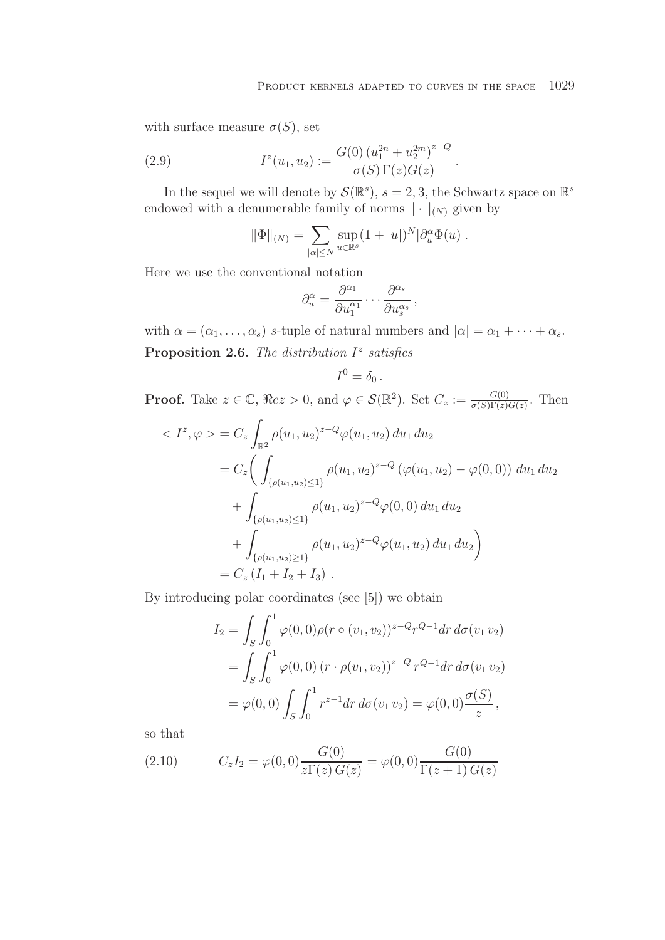with surface measure  $\sigma(S)$ , set

(2.9) 
$$
I^{z}(u_1, u_2) := \frac{G(0) (u_1^{2n} + u_2^{2m})^{z-Q}}{\sigma(S) \Gamma(z) G(z)}.
$$

In the sequel we will denote by  $\mathcal{S}(\mathbb{R}^s)$ ,  $s = 2, 3$ , the Schwartz space on  $\mathbb{R}^s$ endowed with a denumerable family of norms  $\|\cdot\|_{(N)}$  given by

$$
\|\Phi\|_{(N)} = \sum_{|\alpha| \le N} \sup_{u \in \mathbb{R}^s} (1 + |u|)^N |\partial_u^{\alpha} \Phi(u)|.
$$

Here we use the conventional notation

$$
\partial_u^{\alpha} = \frac{\partial^{\alpha_1}}{\partial u_1^{\alpha_1}} \cdots \frac{\partial^{\alpha_s}}{\partial u_s^{\alpha_s}},
$$

with  $\alpha = (\alpha_1, \ldots, \alpha_s)$  s-tuple of natural numbers and  $|\alpha| = \alpha_1 + \cdots + \alpha_s$ . **Proposition 2.6.** *The distribution*  $I^z$  *satisfies* 

$$
I^0=\delta_0.
$$

**Proof.** Take  $z \in \mathbb{C}$ ,  $\Re ez > 0$ , and  $\varphi \in \mathcal{S}(\mathbb{R}^2)$ . Set  $C_z := \frac{G(0)}{\sigma(S)\Gamma(z)G(z)}$ . Then

$$
\langle I^{z}, \varphi \rangle = C_{z} \int_{\mathbb{R}^{2}} \rho(u_{1}, u_{2})^{z-Q} \varphi(u_{1}, u_{2}) du_{1} du_{2}
$$
  
=  $C_{z} \Biggl( \int_{\{\rho(u_{1}, u_{2}) \le 1\}} \rho(u_{1}, u_{2})^{z-Q} (\varphi(u_{1}, u_{2}) - \varphi(0, 0)) du_{1} du_{2}$   
+  $\int_{\{\rho(u_{1}, u_{2}) \le 1\}} \rho(u_{1}, u_{2})^{z-Q} \varphi(0, 0) du_{1} du_{2}$   
+  $\int_{\{\rho(u_{1}, u_{2}) \ge 1\}} \rho(u_{1}, u_{2})^{z-Q} \varphi(u_{1}, u_{2}) du_{1} du_{2} \Biggr)$   
=  $C_{z} (I_{1} + I_{2} + I_{3})$ .

By introducing polar coordinates (see [5]) we obtain

$$
I_2 = \int_S \int_0^1 \varphi(0,0)\rho(r \circ (v_1, v_2))^{z-Q} r^{Q-1} dr d\sigma(v_1 v_2)
$$
  
= 
$$
\int_S \int_0^1 \varphi(0,0) (r \cdot \rho(v_1, v_2))^{z-Q} r^{Q-1} dr d\sigma(v_1 v_2)
$$
  
= 
$$
\varphi(0,0) \int_S \int_0^1 r^{z-1} dr d\sigma(v_1 v_2) = \varphi(0,0) \frac{\sigma(S)}{z},
$$

so that

(2.10) 
$$
C_z I_2 = \varphi(0,0) \frac{G(0)}{z \Gamma(z) G(z)} = \varphi(0,0) \frac{G(0)}{\Gamma(z+1) G(z)}
$$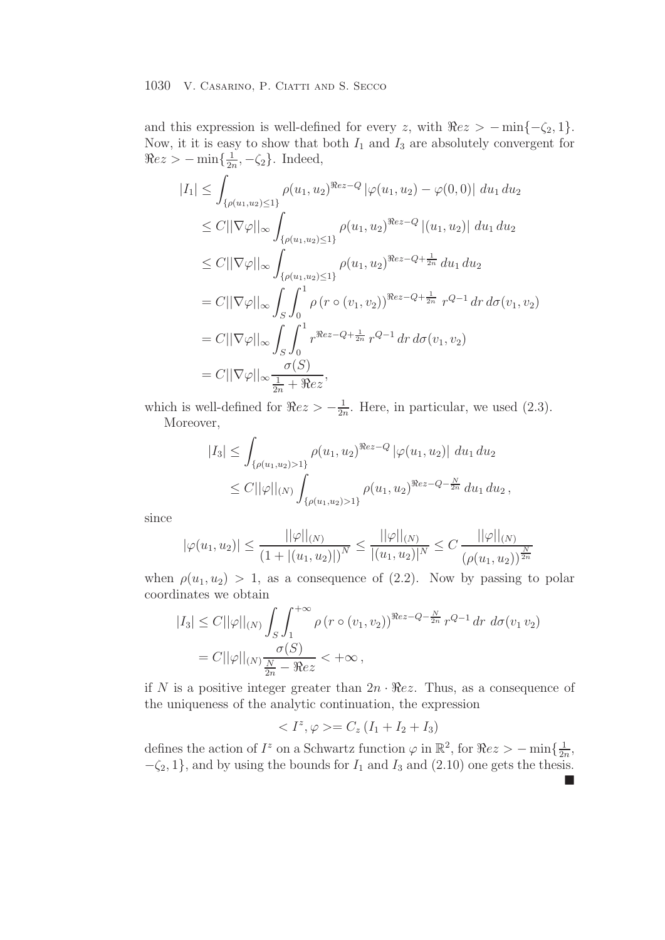and this expression is well-defined for every z, with  $\Re ez > -\min\{-\zeta_2, 1\}$ . Now, it it is easy to show that both  $I_1$  and  $I_3$  are absolutely convergent for  $\Re ez > -\min\{\frac{1}{2n}, -\zeta_2\}.$  Indeed,

$$
|I_{1}| \leq \int_{\{\rho(u_{1}, u_{2}) \leq 1\}} \rho(u_{1}, u_{2})^{\Re ez-Q} |\varphi(u_{1}, u_{2}) - \varphi(0, 0)| du_{1} du_{2}
$$
  
\n
$$
\leq C ||\nabla \varphi||_{\infty} \int_{\{\rho(u_{1}, u_{2}) \leq 1\}} \rho(u_{1}, u_{2})^{\Re ez-Q} |(u_{1}, u_{2})| du_{1} du_{2}
$$
  
\n
$$
\leq C ||\nabla \varphi||_{\infty} \int_{\{\rho(u_{1}, u_{2}) \leq 1\}} \rho(u_{1}, u_{2})^{\Re ez-Q+\frac{1}{2n}} du_{1} du_{2}
$$
  
\n
$$
= C ||\nabla \varphi||_{\infty} \int_{S} \int_{0}^{1} \rho (r \circ (v_{1}, v_{2}))^{\Re ez-Q+\frac{1}{2n}} r^{Q-1} dr d\sigma(v_{1}, v_{2})
$$
  
\n
$$
= C ||\nabla \varphi||_{\infty} \int_{S} \int_{0}^{1} r^{\Re ez-Q+\frac{1}{2n}} r^{Q-1} dr d\sigma(v_{1}, v_{2})
$$
  
\n
$$
= C ||\nabla \varphi||_{\infty} \frac{\sigma(S)}{\frac{1}{2n} + \Re ez},
$$

which is well-defined for  $\Re ez > -\frac{1}{2n}$ . Here, in particular, we used (2.3). Moreover,

$$
|I_3| \leq \int_{\{\rho(u_1, u_2) > 1\}} \rho(u_1, u_2)^{\Re ez - Q} |\varphi(u_1, u_2)| du_1 du_2
$$
  
 
$$
\leq C ||\varphi||_{(N)} \int_{\{\rho(u_1, u_2) > 1\}} \rho(u_1, u_2)^{\Re ez - Q - \frac{N}{2n}} du_1 du_2,
$$

since

$$
|\varphi(u_1, u_2)| \le \frac{||\varphi||_{(N)}}{(1 + |(u_1, u_2)|)^N} \le \frac{||\varphi||_{(N)}}{|(u_1, u_2)|^N} \le C \frac{||\varphi||_{(N)}}{(\rho(u_1, u_2))^{\frac{N}{2n}}}
$$

when  $\rho(u_1, u_2) > 1$ , as a consequence of (2.2). Now by passing to polar coordinates we obtain

$$
|I_3| \leq C ||\varphi||_{(N)} \int_S \int_1^{+\infty} \rho (r \circ (v_1, v_2))^{Rez - Q - \frac{N}{2n}} r^{Q-1} dr d\sigma (v_1 v_2)
$$
  
=  $C ||\varphi||_{(N)} \frac{\sigma(S)}{\frac{N}{2n} - \Re ez} < +\infty$ ,

if N is a positive integer greater than  $2n \cdot \Re ez$ . Thus, as a consequence of the uniqueness of the analytic continuation, the expression

$$
\langle I^z, \varphi \rangle = C_z (I_1 + I_2 + I_3)
$$

defines the action of  $I^z$  on a Schwartz function  $\varphi$  in  $\mathbb{R}^2$ , for  $\Re ez > -\min\{\frac{1}{2n},\}$  $-\zeta_2$ , 1}, and by using the bounds for  $I_1$  and  $I_3$  and  $(2.10)$  one gets the thesis.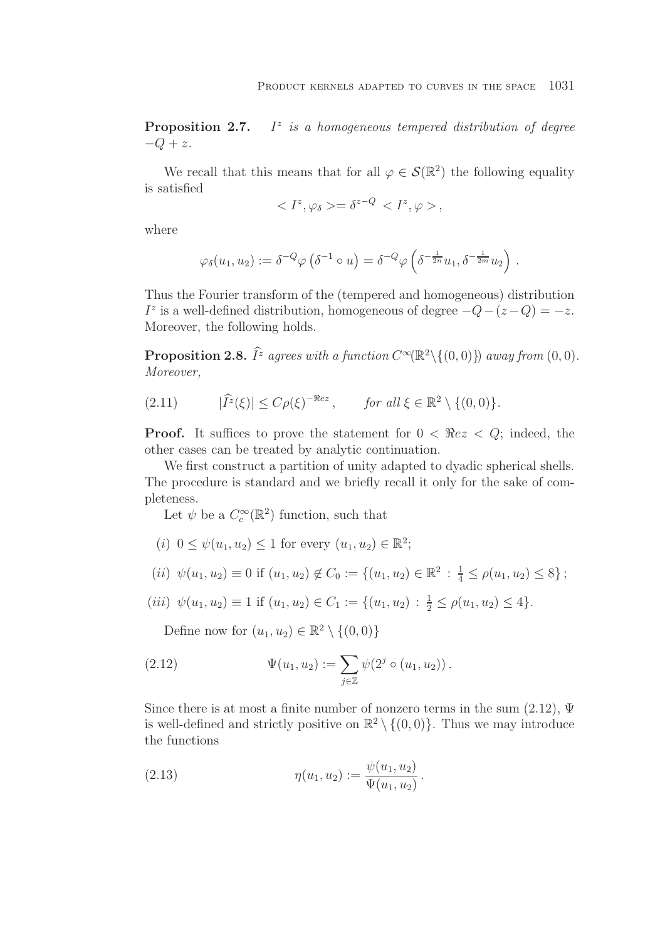**Proposition 2.7.** I<sup>z</sup> *is a homogeneous tempered distribution of degree*  $-Q + z$ *.* 

We recall that this means that for all  $\varphi \in \mathcal{S}(\mathbb{R}^2)$  the following equality is satisfied

$$
\langle I^z, \varphi_\delta \rangle = \delta^{z-Q} \langle I^z, \varphi \rangle,
$$

where

$$
\varphi_{\delta}(u_1, u_2) := \delta^{-Q} \varphi \left( \delta^{-1} \circ u \right) = \delta^{-Q} \varphi \left( \delta^{-\frac{1}{2n}} u_1, \delta^{-\frac{1}{2m}} u_2 \right) .
$$

Thus the Fourier transform of the (tempered and homogeneous) distribution I<sup>z</sup> is a well-defined distribution, homogeneous of degree  $-Q-(z-Q) = -z$ . Moreover, the following holds.

**Proposition 2.8.**  $\widehat{I}^z$  agrees with a function  $C^{\infty}(\mathbb{R}^2 \setminus \{(0,0)\})$  away from  $(0,0)$ . *Moreover,*

 $(2.11)$  $\widehat{I}^z(\xi) \le C \rho(\xi)^{-\Re ez}$ , *for all*  $\xi \in \mathbb{R}^2 \setminus \{(0,0)\}.$ 

**Proof.** It suffices to prove the statement for  $0 < \Re ez < Q$ ; indeed, the other cases can be treated by analytic continuation.

We first construct a partition of unity adapted to dyadic spherical shells. The procedure is standard and we briefly recall it only for the sake of completeness.

Let  $\psi$  be a  $C_c^{\infty}(\mathbb{R}^2)$  function, such that

(i)  $0 \leq \psi(u_1, u_2) \leq 1$  for every  $(u_1, u_2) \in \mathbb{R}^2$ ;

(*ii*) 
$$
\psi(u_1, u_2) \equiv 0
$$
 if  $(u_1, u_2) \notin C_0 := \{(u_1, u_2) \in \mathbb{R}^2 : \frac{1}{4} \le \rho(u_1, u_2) \le 8\}$ ;

(iii)  $\psi(u_1, u_2) \equiv 1$  if  $(u_1, u_2) \in C_1 := \{(u_1, u_2) : \frac{1}{2} \le \rho(u_1, u_2) \le 4\}.$ 

Define now for  $(u_1, u_2) \in \mathbb{R}^2 \setminus \{(0, 0)\}\$ 

(2.12) 
$$
\Psi(u_1, u_2) := \sum_{j \in \mathbb{Z}} \psi(2^j \circ (u_1, u_2)).
$$

Since there is at most a finite number of nonzero terms in the sum  $(2.12)$ ,  $\Psi$ is well-defined and strictly positive on  $\mathbb{R}^2 \setminus \{(0,0)\}\.$  Thus we may introduce the functions

(2.13) 
$$
\eta(u_1, u_2) := \frac{\psi(u_1, u_2)}{\Psi(u_1, u_2)}.
$$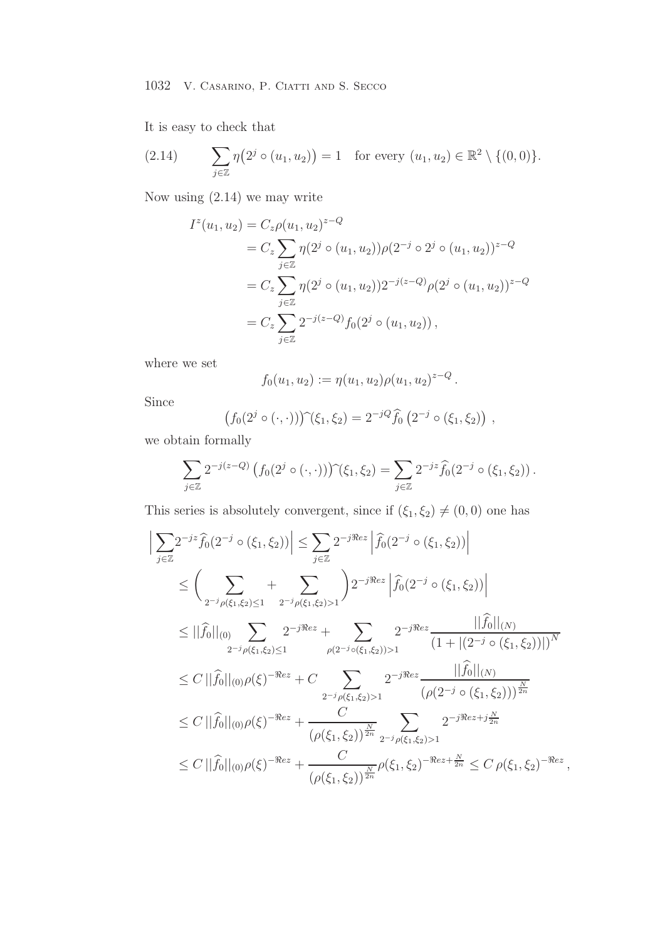It is easy to check that

(2.14) 
$$
\sum_{j\in\mathbb{Z}} \eta\big(2^j \circ (u_1, u_2)\big) = 1 \text{ for every } (u_1, u_2) \in \mathbb{R}^2 \setminus \{(0, 0)\}.
$$

Now using (2.14) we may write

$$
I^{z}(u_{1}, u_{2}) = C_{z}\rho(u_{1}, u_{2})^{z-Q}
$$
  
=  $C_{z}\sum_{j\in\mathbb{Z}}\eta(2^{j}\circ(u_{1}, u_{2}))\rho(2^{-j}\circ 2^{j}\circ(u_{1}, u_{2}))^{z-Q}$   
=  $C_{z}\sum_{j\in\mathbb{Z}}\eta(2^{j}\circ(u_{1}, u_{2}))2^{-j(z-Q)}\rho(2^{j}\circ(u_{1}, u_{2}))^{z-Q}$   
=  $C_{z}\sum_{j\in\mathbb{Z}}2^{-j(z-Q)}f_{0}(2^{j}\circ(u_{1}, u_{2}))$ ,

where we set

$$
f_0(u_1, u_2) := \eta(u_1, u_2) \rho(u_1, u_2)^{z-Q}.
$$

Since

$$
(f_0(2^j \circ (\cdot,\cdot)))^{\widehat{}}(\xi_1,\xi_2) = 2^{-jQ} \widehat{f}_0(2^{-j} \circ (\xi_1,\xi_2)),
$$

we obtain formally

$$
\sum_{j\in\mathbb{Z}} 2^{-j(z-Q)} \left(f_0(2^j\circ(\cdot,\cdot))\right)\hat{f}(\xi_1,\xi_2) = \sum_{j\in\mathbb{Z}} 2^{-jz} \hat{f}_0(2^{-j}\circ(\xi_1,\xi_2)).
$$

This series is absolutely convergent, since if  $(\xi_1,\xi_2)\neq (0,0)$  one has

$$
\left| \sum_{j\in\mathbb{Z}} 2^{-jz} \hat{f}_0(2^{-j} \circ (\xi_1, \xi_2)) \right| \leq \sum_{j\in\mathbb{Z}} 2^{-j\Re e z} \left| \hat{f}_0(2^{-j} \circ (\xi_1, \xi_2)) \right| \n\leq \left( \sum_{2^{-j}\rho(\xi_1, \xi_2) \leq 1} + \sum_{2^{-j}\rho(\xi_1, \xi_2) > 1} \right) 2^{-j\Re e z} \left| \hat{f}_0(2^{-j} \circ (\xi_1, \xi_2)) \right| \n\leq ||\hat{f}_0||_{(0)} \sum_{2^{-j}\rho(\xi_1, \xi_2) \leq 1} 2^{-j\Re e z} + \sum_{\rho(2^{-j}\circ(\xi_1, \xi_2)) > 1} 2^{-j\Re e z} \frac{||\hat{f}_0||_{(N)}}{(1 + |(2^{-j} \circ (\xi_1, \xi_2))|)^N} \n\leq C ||\hat{f}_0||_{(0)} \rho(\xi)^{-\Re e z} + C \sum_{2^{-j}\rho(\xi_1, \xi_2) > 1} 2^{-j\Re e z} \frac{||\hat{f}_0||_{(N)}}{(\rho(2^{-j} \circ (\xi_1, \xi_2)))^{\frac{N}{2n}} } \n\leq C ||\hat{f}_0||_{(0)} \rho(\xi)^{-\Re e z} + \frac{C}{(\rho(\xi_1, \xi_2))^{\frac{N}{2n}} 2^{-j\rho(\xi_1, \xi_2) > 1}} 2^{-j\Re e z + j\frac{N}{2n}} \n\leq C ||\hat{f}_0||_{(0)} \rho(\xi)^{-\Re e z} + \frac{C}{(\rho(\xi_1, \xi_2))^{\frac{N}{2n}}} \rho(\xi_1, \xi_2)^{-\Re e z + \frac{N}{2n}} \leq C \rho(\xi_1, \xi_2)^{-\Re e z},
$$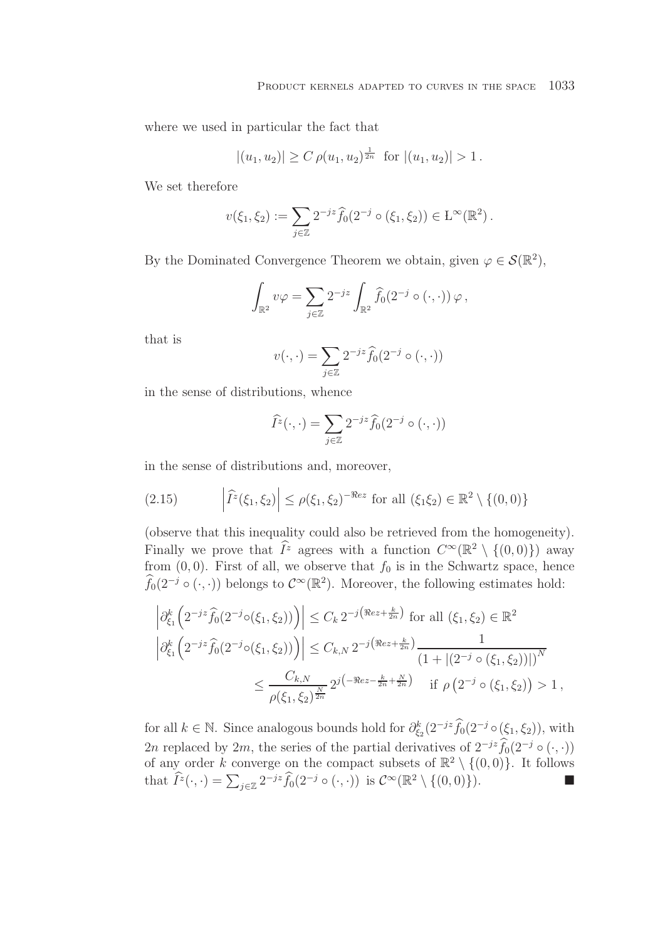where we used in particular the fact that

$$
|(u_1, u_2)| \ge C \rho(u_1, u_2)^{\frac{1}{2n}}
$$
 for  $|(u_1, u_2)| > 1$ .

We set therefore

$$
v(\xi_1, \xi_2) := \sum_{j \in \mathbb{Z}} 2^{-jz} \widehat{f}_0(2^{-j} \circ (\xi_1, \xi_2)) \in \mathcal{L}^{\infty}(\mathbb{R}^2).
$$

By the Dominated Convergence Theorem we obtain, given  $\varphi \in \mathcal{S}(\mathbb{R}^2)$ ,

$$
\int_{\mathbb{R}^2} v\varphi = \sum_{j\in\mathbb{Z}} 2^{-jz} \int_{\mathbb{R}^2} \widehat{f}_0(2^{-j} \circ (\cdot, \cdot)) \varphi,
$$

that is

$$
v(\cdot, \cdot) = \sum_{j \in \mathbb{Z}} 2^{-jz} \widehat{f}_0(2^{-j} \circ (\cdot, \cdot))
$$

in the sense of distributions, whence

$$
\widehat{I}^z(\cdot,\cdot) = \sum_{j\in\mathbb{Z}} 2^{-jz} \widehat{f}_0(2^{-j} \circ (\cdot,\cdot))
$$

in the sense of distributions and, moreover,

(2.15) 
$$
\left| \widehat{I}^z(\xi_1, \xi_2) \right| \le \rho(\xi_1, \xi_2)^{-\Re ez} \text{ for all } (\xi_1 \xi_2) \in \mathbb{R}^2 \setminus \{ (0, 0) \}
$$

(observe that this inequality could also be retrieved from the homogeneity). Finally we prove that  $\widehat{I}^z$  agrees with a function  $C^{\infty}(\mathbb{R}^2 \setminus \{(0,0)\})$  away from  $(0, 0)$ . First of all, we observe that  $f_0$  is in the Schwartz space, hence  $\widehat{f}_0(2^{-j} \circ (\cdot, \cdot))$  belongs to  $\mathcal{C}^{\infty}(\mathbb{R}^2)$ . Moreover, the following estimates hold:

$$
\left| \partial_{\xi_1}^k \left( 2^{-jz} \widehat{f}_0(2^{-j} \circ (\xi_1, \xi_2)) \right) \right| \leq C_k \, 2^{-j \left( \Re e z + \frac{k}{2n} \right)} \text{ for all } (\xi_1, \xi_2) \in \mathbb{R}^2
$$
  

$$
\left| \partial_{\xi_1}^k \left( 2^{-jz} \widehat{f}_0(2^{-j} \circ (\xi_1, \xi_2)) \right) \right| \leq C_{k,N} \, 2^{-j \left( \Re e z + \frac{k}{2n} \right)} \frac{1}{\left( 1 + \left| (2^{-j} \circ (\xi_1, \xi_2)) \right| \right)^N}
$$
  

$$
\leq \frac{C_{k,N}}{\rho(\xi_1, \xi_2)^{\frac{N}{2n}}} 2^{j \left( -\Re e z - \frac{k}{2n} + \frac{N}{2n} \right)} \quad \text{if } \rho \left( 2^{-j} \circ (\xi_1, \xi_2) \right) > 1,
$$

for all  $k \in \mathbb{N}$ . Since analogous bounds hold for  $\partial_{\xi_2}^k(2^{-jz}\widehat{f}_0(2^{-j} \circ (\xi_1, \xi_2)),$  with 2n replaced by 2m, the series of the partial derivatives of  $2^{-jz}\widehat{f}_0(2^{-j} \circ (\cdot, \cdot))$ of any order k converge on the compact subsets of  $\mathbb{R}^2 \setminus \{(0,0)\}$ . It follows that  $\widehat{I}^z(\cdot,\cdot) = \sum_{j\in\mathbb{Z}} 2^{-jz} \widehat{f}_0(2^{-j} \circ (\cdot,\cdot))$  is  $\mathcal{C}^\infty(\mathbb{R}^2 \setminus \{(0,0)\})$ .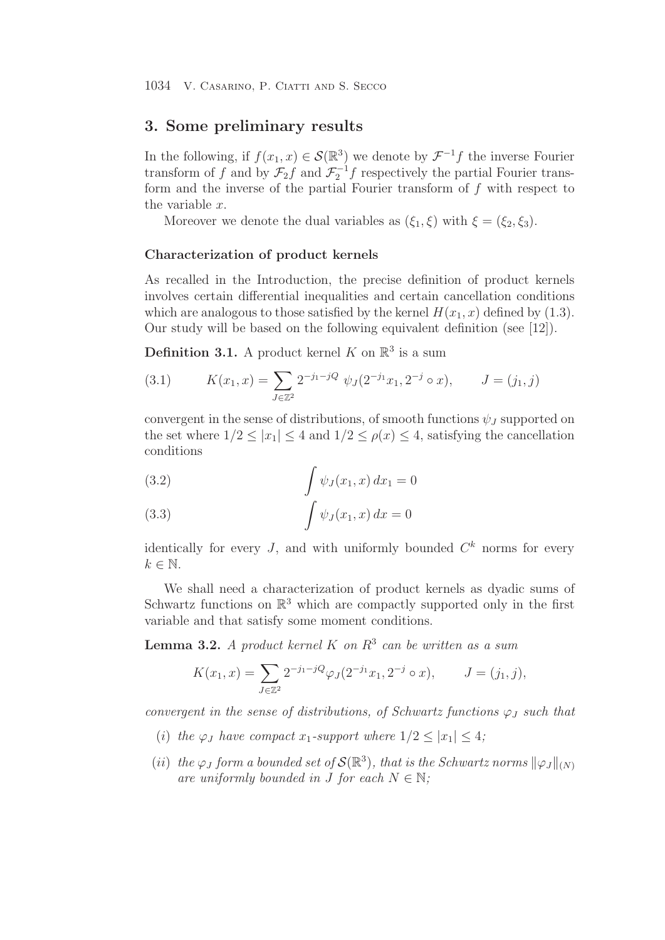# **3. Some preliminary results**

In the following, if  $f(x_1, x) \in \mathcal{S}(\mathbb{R}^3)$  we denote by  $\mathcal{F}^{-1}f$  the inverse Fourier transform of f and by  $\mathcal{F}_2 f$  and  $\mathcal{F}_2^{-1} f$  respectively the partial Fourier transform and the inverse of the partial Fourier transform of  $f$  with respect to the variable x.

Moreover we denote the dual variables as  $(\xi_1, \xi)$  with  $\xi = (\xi_2, \xi_3)$ .

#### **Characterization of product kernels**

As recalled in the Introduction, the precise definition of product kernels involves certain differential inequalities and certain cancellation conditions which are analogous to those satisfied by the kernel  $H(x_1, x)$  defined by (1.3). Our study will be based on the following equivalent definition (see [12]).

**Definition 3.1.** A product kernel K on  $\mathbb{R}^3$  is a sum

(3.1) 
$$
K(x_1, x) = \sum_{J \in \mathbb{Z}^2} 2^{-j_1 - jQ} \psi_J(2^{-j_1}x_1, 2^{-j} \circ x), \qquad J = (j_1, j)
$$

convergent in the sense of distributions, of smooth functions  $\psi_J$  supported on the set where  $1/2 \leq |x_1| \leq 4$  and  $1/2 \leq \rho(x) \leq 4$ , satisfying the cancellation conditions

(3.2) 
$$
\int \psi_J(x_1, x) dx_1 = 0
$$

$$
\int \psi_J(x_1, x) dx = 0
$$

identically for every J, and with uniformly bounded  $C<sup>k</sup>$  norms for every  $k \in \mathbb{N}$ .

We shall need a characterization of product kernels as dyadic sums of Schwartz functions on  $\mathbb{R}^3$  which are compactly supported only in the first variable and that satisfy some moment conditions.

**Lemma 3.2.** *A product kernel* K *on* R<sup>3</sup> *can be written as a sum*

$$
K(x_1, x) = \sum_{J \in \mathbb{Z}^2} 2^{-j_1 - jQ} \varphi_J(2^{-j_1} x_1, 2^{-j} \circ x), \qquad J = (j_1, j),
$$

*convergent in the sense of distributions, of Schwartz functions*  $\varphi_J$  *such that* 

- (i) the  $\varphi_J$  have compact  $x_1$ -support where  $1/2 \leq |x_1| \leq 4$ ;
- (*ii*) *the*  $\varphi$ *J form a bounded set of*  $\mathcal{S}(\mathbb{R}^3)$ *, that is the Schwartz norms*  $\|\varphi$ *J* $\|_{(N)}$ *are uniformly bounded in J for each*  $N \in \mathbb{N}$ ;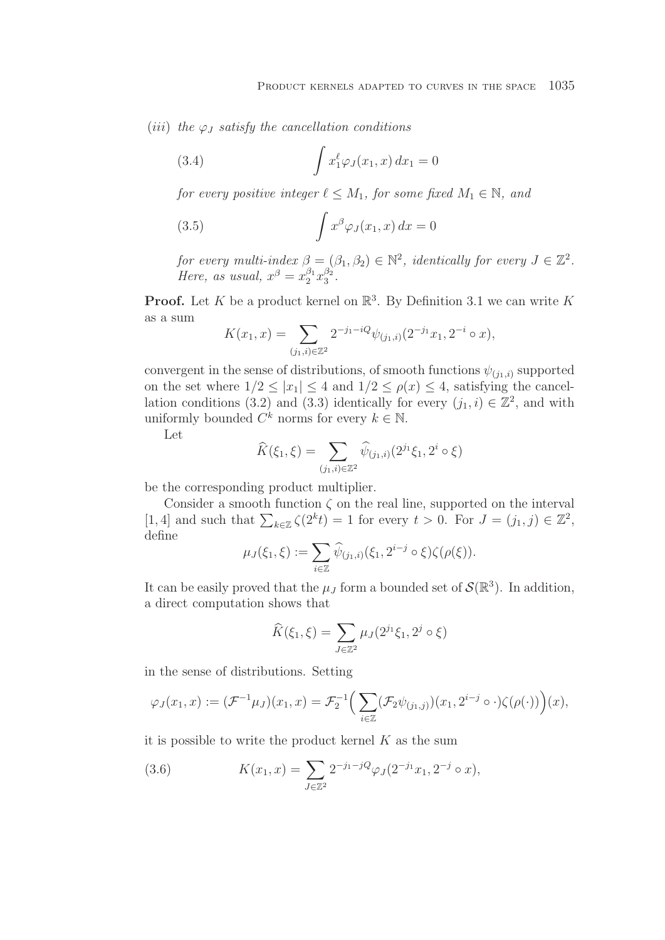(*iii*) the  $\varphi_J$  *satisfy the cancellation conditions* 

(3.4) 
$$
\int x_1^{\ell} \varphi_J(x_1, x) dx_1 = 0
$$

*for every positive integer*  $\ell \leq M_1$ *, for some fixed*  $M_1 \in \mathbb{N}$ *, and* 

(3.5) 
$$
\int x^{\beta} \varphi_J(x_1, x) dx = 0
$$

*for every multi-index*  $\beta = (\beta_1, \beta_2) \in \mathbb{N}^2$ , *identically for every*  $J \in \mathbb{Z}^2$ . *Here, as usual,*  $x^{\beta} = x_2^{\beta_1} x_3^{\beta_2}$ .

**Proof.** Let K be a product kernel on  $\mathbb{R}^3$ . By Definition 3.1 we can write K as a sum

$$
K(x_1, x) = \sum_{(j_1, i) \in \mathbb{Z}^2} 2^{-j_1 - iQ} \psi_{(j_1, i)}(2^{-j_1} x_1, 2^{-i} \circ x),
$$

convergent in the sense of distributions, of smooth functions  $\psi_{(j_1,i)}$  supported on the set where  $1/2 \leq |x_1| \leq 4$  and  $1/2 \leq \rho(x) \leq 4$ , satisfying the cancellation conditions (3.2) and (3.3) identically for every  $(j_1, i) \in \mathbb{Z}^2$ , and with uniformly bounded  $C^k$  norms for every  $k \in \mathbb{N}$ .

Let

$$
\widehat{K}(\xi_1, \xi) = \sum_{(j_1, i) \in \mathbb{Z}^2} \widehat{\psi}_{(j_1, i)}(2^{j_1} \xi_1, 2^i \circ \xi)
$$

be the corresponding product multiplier.

Consider a smooth function  $\zeta$  on the real line, supported on the interval [1, 4] and such that  $\sum_{k\in\mathbb{Z}}\zeta(2^kt)}=1$  for every  $t>0$ . For  $J=(j_1,j)\in\mathbb{Z}^2$ , define

$$
\mu_J(\xi_1, \xi) := \sum_{i \in \mathbb{Z}} \widehat{\psi}_{(j_1, i)}(\xi_1, 2^{i-j} \circ \xi) \zeta(\rho(\xi)).
$$

It can be easily proved that the  $\mu_J$  form a bounded set of  $\mathcal{S}(\mathbb{R}^3)$ . In addition, a direct computation shows that

$$
\widehat{K}(\xi_1, \xi) = \sum_{J \in \mathbb{Z}^2} \mu_J(2^{j_1}\xi_1, 2^j \circ \xi)
$$

in the sense of distributions. Setting

$$
\varphi_J(x_1,x) := (\mathcal{F}^{-1}\mu_J)(x_1,x) = \mathcal{F}_2^{-1}\Big(\sum_{i\in\mathbb{Z}} (\mathcal{F}_2\psi_{(j_1,j)})(x_1,2^{i-j}\circ\cdot)\zeta(\rho(\cdot))\Big)(x),
$$

it is possible to write the product kernel  $K$  as the sum

(3.6) 
$$
K(x_1, x) = \sum_{J \in \mathbb{Z}^2} 2^{-j_1 - jQ} \varphi_J(2^{-j_1}x_1, 2^{-j} \circ x),
$$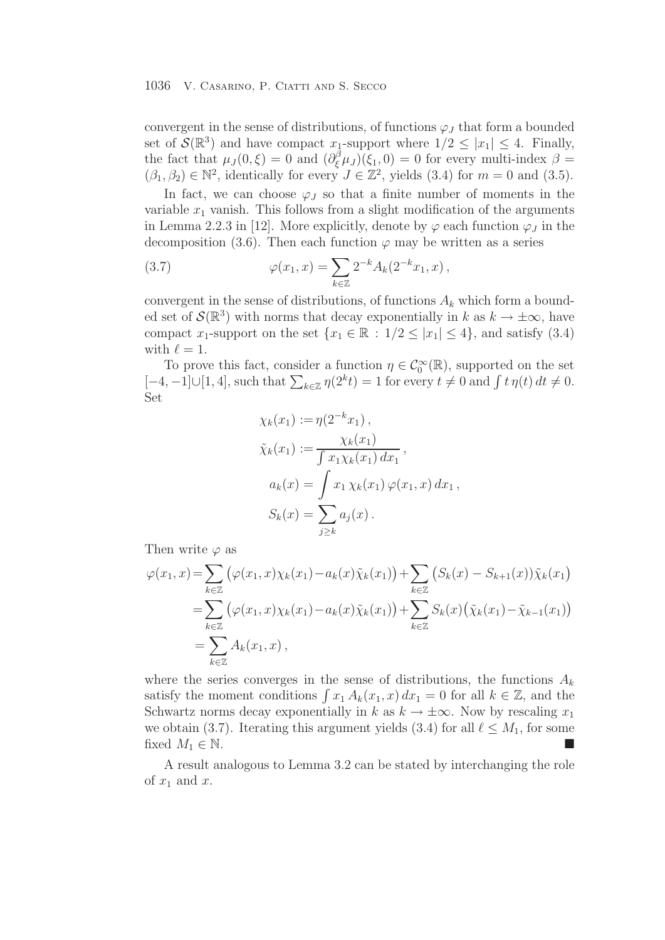convergent in the sense of distributions, of functions  $\varphi_J$  that form a bounded set of  $\mathcal{S}(\mathbb{R}^3)$  and have compact  $x_1$ -support where  $1/2 \leq |x_1| \leq 4$ . Finally, the fact that  $\mu_J(0,\xi) = 0$  and  $\left(\partial_{\xi}^{\beta}\mu_J\right)(\xi_1,0) = 0$  for every multi-index  $\beta =$  $(\beta_1, \beta_2) \in \mathbb{N}^2$ , identically for every  $J \in \mathbb{Z}^2$ , yields (3.4) for  $m = 0$  and (3.5).

In fact, we can choose  $\varphi_J$  so that a finite number of moments in the variable  $x_1$  vanish. This follows from a slight modification of the arguments in Lemma 2.2.3 in [12]. More explicitly, denote by  $\varphi$  each function  $\varphi_J$  in the decomposition (3.6). Then each function  $\varphi$  may be written as a series

(3.7) 
$$
\varphi(x_1, x) = \sum_{k \in \mathbb{Z}} 2^{-k} A_k(2^{-k} x_1, x),
$$

convergent in the sense of distributions, of functions  $A_k$  which form a bounded set of  $\mathcal{S}(\mathbb{R}^3)$  with norms that decay exponentially in k as  $k \to \pm \infty$ , have compact x<sub>1</sub>-support on the set  $\{x_1 \in \mathbb{R} : 1/2 \leq |x_1| \leq 4\}$ , and satisfy (3.4) with  $\ell = 1$ .

To prove this fact, consider a function  $\eta \in C_0^{\infty}(\mathbb{R})$ , supported on the set  $[-4, -1] \cup [1, 4]$ , such that  $\sum_{k \in \mathbb{Z}} \eta(2^k t) = 1$  for every  $t \neq 0$  and  $\int t \eta(t) dt \neq 0$ . Set

$$
\chi_k(x_1) := \eta(2^{-k}x_1),
$$
  
\n
$$
\tilde{\chi}_k(x_1) := \frac{\chi_k(x_1)}{\int x_1 \chi_k(x_1) dx_1},
$$
  
\n
$$
a_k(x) = \int x_1 \chi_k(x_1) \varphi(x_1, x) dx_1,
$$
  
\n
$$
S_k(x) = \sum_{j \ge k} a_j(x).
$$

Then write  $\varphi$  as

$$
\varphi(x_1, x) = \sum_{k \in \mathbb{Z}} (\varphi(x_1, x) \chi_k(x_1) - a_k(x) \tilde{\chi}_k(x_1)) + \sum_{k \in \mathbb{Z}} (S_k(x) - S_{k+1}(x)) \tilde{\chi}_k(x_1)
$$
  
= 
$$
\sum_{k \in \mathbb{Z}} (\varphi(x_1, x) \chi_k(x_1) - a_k(x) \tilde{\chi}_k(x_1)) + \sum_{k \in \mathbb{Z}} S_k(x) (\tilde{\chi}_k(x_1) - \tilde{\chi}_{k-1}(x_1))
$$
  
= 
$$
\sum_{k \in \mathbb{Z}} A_k(x_1, x),
$$

where the series converges in the sense of distributions, the functions  $A_k$ satisfy the moment conditions  $\int x_1 A_k(x_1, x) dx_1 = 0$  for all  $k \in \mathbb{Z}$ , and the Schwartz norms decay exponentially in k as  $k \to \pm \infty$ . Now by rescaling  $x_1$ we obtain (3.7). Iterating this argument yields (3.4) for all  $\ell \leq M_1$ , for some fixed  $M_1 \in \mathbb{N}$ .

A result analogous to Lemma 3.2 can be stated by interchanging the role of  $x_1$  and  $x$ .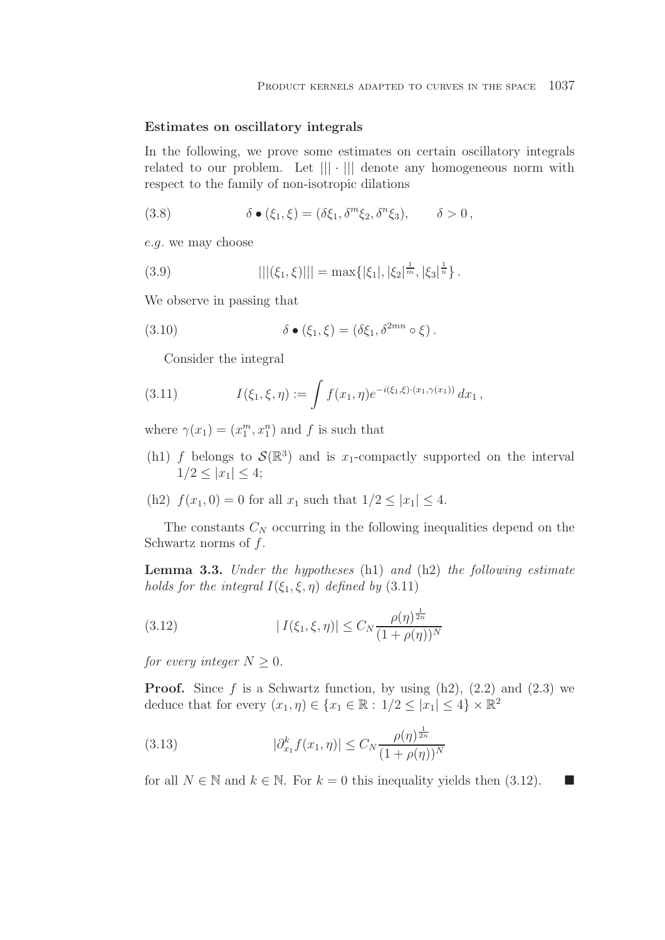#### **Estimates on oscillatory integrals**

In the following, we prove some estimates on certain oscillatory integrals related to our problem. Let  $\| \cdot \|$  denote any homogeneous norm with respect to the family of non-isotropic dilations

(3.8) 
$$
\delta \bullet (\xi_1, \xi) = (\delta \xi_1, \delta^m \xi_2, \delta^n \xi_3), \qquad \delta > 0,
$$

e.g. we may choose

(3.9) 
$$
|||(\xi_1,\xi)||| = \max\{|\xi_1|, |\xi_2|^{\frac{1}{m}}, |\xi_3|^{\frac{1}{n}}\}.
$$

We observe in passing that

(3.10) 
$$
\delta \bullet (\xi_1, \xi) = (\delta \xi_1, \delta^{2mn} \circ \xi).
$$

Consider the integral

(3.11) 
$$
I(\xi_1, \xi, \eta) := \int f(x_1, \eta) e^{-i(\xi_1, \xi) \cdot (x_1, \gamma(x_1))} dx_1,
$$

where  $\gamma(x_1) = (x_1^m, x_1^n)$  and f is such that

- (h1) f belongs to  $\mathcal{S}(\mathbb{R}^3)$  and is x<sub>1</sub>-compactly supported on the interval  $1/2 \leq |x_1| \leq 4;$
- (h2)  $f(x_1, 0) = 0$  for all  $x_1$  such that  $1/2 \le |x_1| \le 4$ .

The constants  $C_N$  occurring in the following inequalities depend on the Schwartz norms of  $f$ .

**Lemma 3.3.** *Under the hypotheses* (h1) *and* (h2) *the following estimate holds for the integral*  $I(\xi_1, \xi, \eta)$  *defined by* (3.11)

(3.12) 
$$
|I(\xi_1, \xi, \eta)| \le C_N \frac{\rho(\eta)^{\frac{1}{2n}}}{(1 + \rho(\eta))^N}
$$

*for every integer*  $N \geq 0$ *.* 

**Proof.** Since  $f$  is a Schwartz function, by using  $(h2)$ ,  $(2.2)$  and  $(2.3)$  we deduce that for every  $(x_1, \eta) \in \{x_1 \in \mathbb{R} : 1/2 \leq |x_1| \leq 4\} \times \mathbb{R}^2$ 

(3.13) 
$$
|\partial_{x_1}^k f(x_1, \eta)| \le C_N \frac{\rho(\eta)^{\frac{1}{2n}}}{(1 + \rho(\eta))^N}
$$

for all  $N \in \mathbb{N}$  and  $k \in \mathbb{N}$ . For  $k = 0$  this inequality yields then (3.12).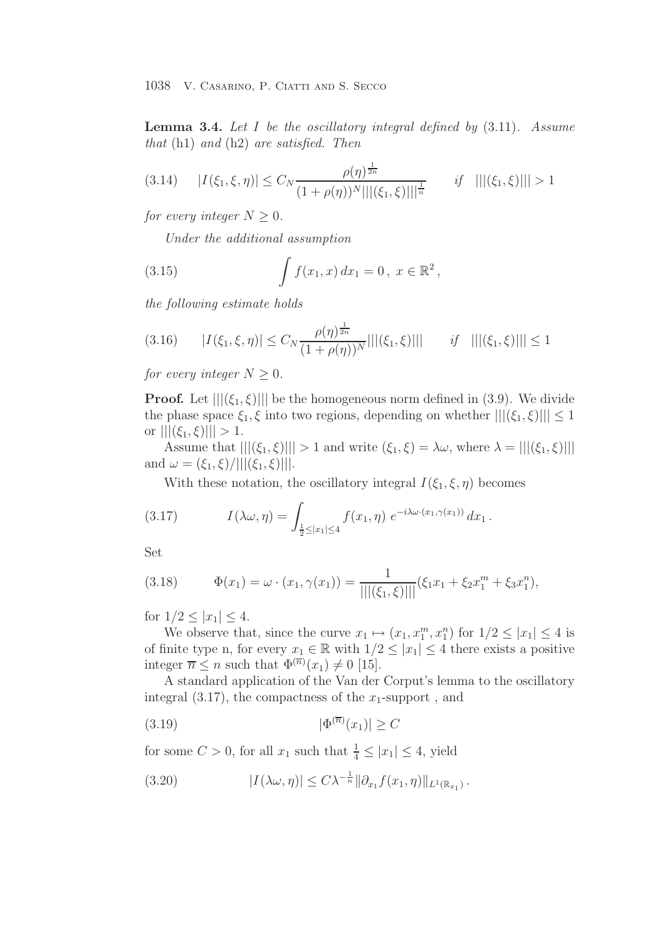**Lemma 3.4.** *Let* I *be the oscillatory integral defined by* (3.11)*. Assume that* (h1) *and* (h2) *are satisfied. Then*

$$
(3.14) \qquad |I(\xi_1, \xi, \eta)| \le C_N \frac{\rho(\eta)^{\frac{1}{2n}}}{(1 + \rho(\eta))^N |||(\xi_1, \xi)|||^{\frac{1}{n}}} \qquad \text{if} \quad |||(\xi_1, \xi)||| > 1
$$

*for every integer*  $N > 0$ *.* 

*Under the additional assumption*

(3.15) 
$$
\int f(x_1, x) dx_1 = 0, x \in \mathbb{R}^2,
$$

*the following estimate holds*

$$
(3.16) \qquad |I(\xi_1, \xi, \eta)| \le C_N \frac{\rho(\eta)^{\frac{1}{2n}}}{(1 + \rho(\eta))^N} |||(\xi_1, \xi)||| \qquad \text{if} \quad |||(\xi_1, \xi)||| \le 1
$$

*for every integer*  $N > 0$ *.* 

**Proof.** Let  $\left|\left|\left|\left(\xi_1,\xi\right)\right|\right|\right|$  be the homogeneous norm defined in (3.9). We divide the phase space  $\xi_1, \xi$  into two regions, depending on whether  $|||(\xi_1, \xi)||| \leq 1$ or  $|||(\xi_1, \xi)||| > 1$ .

Assume that  $|||(\xi_1, \xi)||| > 1$  and write  $(\xi_1, \xi) = \lambda \omega$ , where  $\lambda = |||(\xi_1, \xi)|||$ and  $\omega = (\xi_1, \xi)/|||(\xi_1, \xi)|||$ .

With these notation, the oscillatory integral  $I(\xi_1, \xi, \eta)$  becomes

(3.17) 
$$
I(\lambda \omega, \eta) = \int_{\frac{1}{2} \leq |x_1| \leq 4} f(x_1, \eta) e^{-i\lambda \omega \cdot (x_1, \gamma(x_1))} dx_1.
$$

Set

(3.18) 
$$
\Phi(x_1) = \omega \cdot (x_1, \gamma(x_1)) = \frac{1}{|||(\xi_1, \xi)|||} (\xi_1 x_1 + \xi_2 x_1^m + \xi_3 x_1^n),
$$

for  $1/2 \le |x_1| \le 4$ .

We observe that, since the curve  $x_1 \mapsto (x_1, x_1^m, x_1^n)$  for  $1/2 \leq |x_1| \leq 4$  is of finite type n, for every  $x_1 \in \mathbb{R}$  with  $1/2 \leq |x_1| \leq 4$  there exists a positive integer  $\overline{n} \leq n$  such that  $\Phi^{(\overline{n})}(x_1) \neq 0$  [15].

A standard application of the Van der Corput's lemma to the oscillatory integral  $(3.17)$ , the compactness of the  $x_1$ -support, and

$$
(3.19) \t\t\t |\Phi^{(\overline{n})}(x_1)| \ge C
$$

for some  $C > 0$ , for all  $x_1$  such that  $\frac{1}{4} \leq |x_1| \leq 4$ , yield

(3.20) 
$$
|I(\lambda \omega, \eta)| \leq C \lambda^{-\frac{1}{n}} ||\partial_{x_1} f(x_1, \eta)||_{L^1(\mathbb{R}_{x_1})}.
$$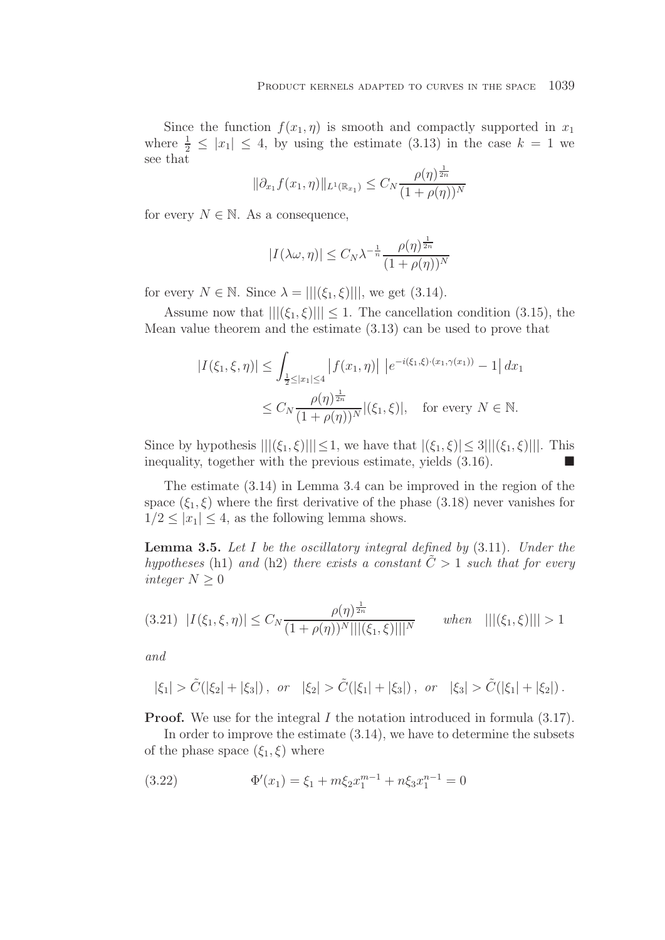Since the function  $f(x_1, \eta)$  is smooth and compactly supported in  $x_1$ where  $\frac{1}{2} \leq |x_1| \leq 4$ , by using the estimate (3.13) in the case  $k = 1$  we see that

$$
\|\partial_{x_1} f(x_1, \eta)\|_{L^1(\mathbb{R}_{x_1})} \le C_N \frac{\rho(\eta)^{\frac{1}{2n}}}{(1 + \rho(\eta))^N}
$$

for every  $N \in \mathbb{N}$ . As a consequence,

$$
|I(\lambda \omega, \eta)| \le C_N \lambda^{-\frac{1}{n}} \frac{\rho(\eta)^{\frac{1}{2n}}}{(1 + \rho(\eta))^N}
$$

for every  $N \in \mathbb{N}$ . Since  $\lambda = |||(\xi_1, \xi)|||$ , we get (3.14).

Assume now that  $|||(\xi_1, \xi)||| \leq 1$ . The cancellation condition (3.15), the Mean value theorem and the estimate (3.13) can be used to prove that

$$
|I(\xi_1, \xi, \eta)| \le \int_{\frac{1}{2} \le |x_1| \le 4} |f(x_1, \eta)| \left| e^{-i(\xi_1, \xi) \cdot (x_1, \gamma(x_1))} - 1 \right| dx_1
$$
  

$$
\le C_N \frac{\rho(\eta)^{\frac{1}{2n}}}{(1 + \rho(\eta))^N} |(\xi_1, \xi)|, \text{ for every } N \in \mathbb{N}.
$$

Since by hypothesis  $|||(\xi_1, \xi)||| \leq 1$ , we have that  $|(\xi_1, \xi)| \leq 3|||(\xi_1, \xi)||$ . This inequality, together with the previous estimate, yields  $(3.16)$ .

The estimate (3.14) in Lemma 3.4 can be improved in the region of the space  $(\xi_1, \xi)$  where the first derivative of the phase (3.18) never vanishes for  $1/2 \leq |x_1| \leq 4$ , as the following lemma shows.

**Lemma 3.5.** *Let* I *be the oscillatory integral defined by* (3.11)*. Under the hypotheses* (h1) *and* (h2) *there exists a constant*  $\tilde{C} > 1$  *such that for every integer*  $N \geq 0$ 

$$
(3.21) \quad |I(\xi_1, \xi, \eta)| \le C_N \frac{\rho(\eta)^{\frac{1}{2n}}}{(1 + \rho(\eta))^N |||(\xi_1, \xi)|||^N} \qquad when \quad |||(\xi_1, \xi)||| > 1
$$

*and*

$$
|\xi_1| > \tilde{C}(|\xi_2| + |\xi_3|), \text{ or } |\xi_2| > \tilde{C}(|\xi_1| + |\xi_3|), \text{ or } |\xi_3| > \tilde{C}(|\xi_1| + |\xi_2|).
$$

**Proof.** We use for the integral I the notation introduced in formula  $(3.17)$ .

In order to improve the estimate (3.14), we have to determine the subsets of the phase space  $(\xi_1, \xi)$  where

(3.22) 
$$
\Phi'(x_1) = \xi_1 + m\xi_2 x_1^{m-1} + n\xi_3 x_1^{n-1} = 0
$$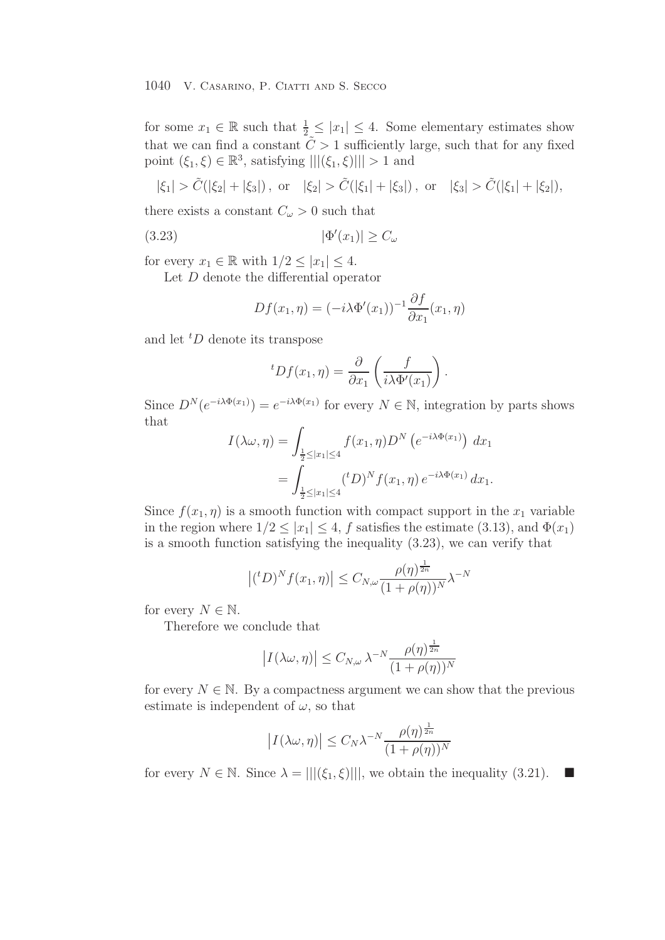for some  $x_1 \in \mathbb{R}$  such that  $\frac{1}{2} \leq |x_1| \leq 4$ . Some elementary estimates show that we can find a constant  $\tilde{C} > 1$  sufficiently large, such that for any fixed point  $(\xi_1, \xi) \in \mathbb{R}^3$ , satisfying  $|||(\xi_1, \xi)||| > 1$  and

$$
|\xi_1| > \tilde{C}(|\xi_2| + |\xi_3|)
$$
, or  $|\xi_2| > \tilde{C}(|\xi_1| + |\xi_3|)$ , or  $|\xi_3| > \tilde{C}(|\xi_1| + |\xi_2|)$ ,

there exists a constant  $C_{\omega} > 0$  such that

$$
(3.23)\t\t\t |\Phi'(x_1)| \ge C_\omega
$$

for every  $x_1 \in \mathbb{R}$  with  $1/2 \leq |x_1| \leq 4$ .

Let D denote the differential operator

$$
Df(x_1, \eta) = (-i\lambda \Phi'(x_1))^{-1} \frac{\partial f}{\partial x_1}(x_1, \eta)
$$

and let  ${}^tD$  denote its transpose

$$
{}^{t}Df(x_1,\eta) = \frac{\partial}{\partial x_1} \left( \frac{f}{i\lambda \Phi'(x_1)} \right).
$$

Since  $D^{N}(e^{-i\lambda \Phi(x_1)}) = e^{-i\lambda \Phi(x_1)}$  for every  $N \in \mathbb{N}$ , integration by parts shows that

$$
I(\lambda \omega, \eta) = \int_{\frac{1}{2} \le |x_1| \le 4} f(x_1, \eta) D^N(e^{-i\lambda \Phi(x_1)}) dx_1
$$
  
= 
$$
\int_{\frac{1}{2} \le |x_1| \le 4} ({}^t D)^N f(x_1, \eta) e^{-i\lambda \Phi(x_1)} dx_1.
$$

Since  $f(x_1, \eta)$  is a smooth function with compact support in the  $x_1$  variable in the region where  $1/2 \leq |x_1| \leq 4$ , f satisfies the estimate (3.13), and  $\Phi(x_1)$ is a smooth function satisfying the inequality (3.23), we can verify that

$$
\left|(^tD)^N f(x_1, \eta) \right| \leq C_{N, \omega} \frac{\rho(\eta)^{\frac{1}{2n}}}{(1 + \rho(\eta))^N} \lambda^{-N}
$$

for every  $N \in \mathbb{N}$ .

Therefore we conclude that

$$
\left| I(\lambda \omega, \eta) \right| \le C_{N, \omega} \lambda^{-N} \frac{\rho(\eta)^{\frac{1}{2n}}}{(1 + \rho(\eta))^N}
$$

for every  $N \in \mathbb{N}$ . By a compactness argument we can show that the previous estimate is independent of  $\omega$ , so that

$$
\left| I(\lambda \omega, \eta) \right| \le C_N \lambda^{-N} \frac{\rho(\eta)^{\frac{1}{2n}}}{(1 + \rho(\eta))^N}
$$

for every  $N \in \mathbb{N}$ . Since  $\lambda = |||(\xi_1, \xi)|||$ , we obtain the inequality (3.21).  $\blacksquare$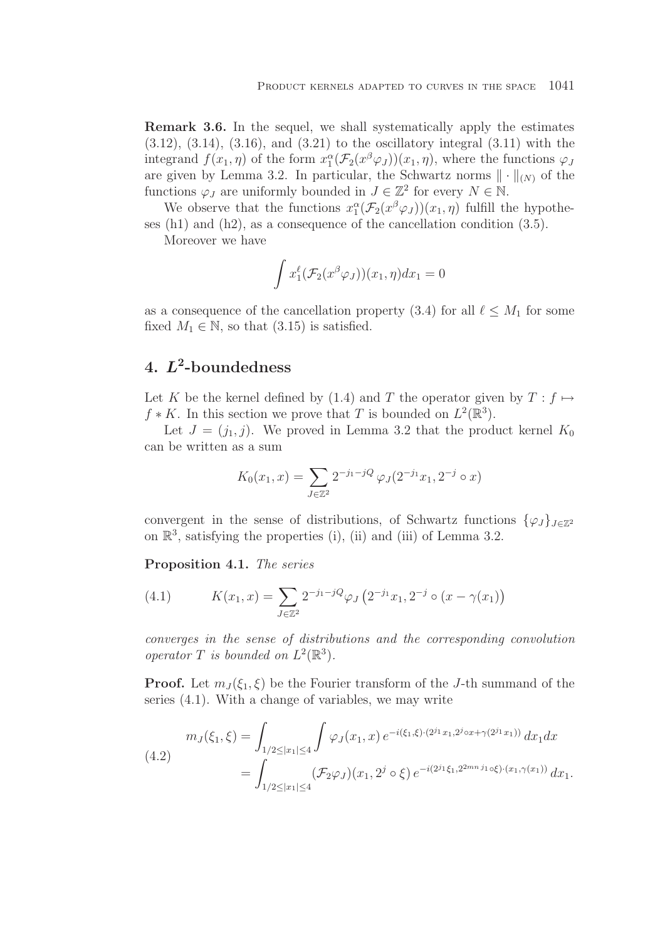**Remark 3.6.** In the sequel, we shall systematically apply the estimates  $(3.12)$ ,  $(3.14)$ ,  $(3.16)$ , and  $(3.21)$  to the oscillatory integral  $(3.11)$  with the integrand  $f(x_1, \eta)$  of the form  $x_1^{\alpha}(\mathcal{F}_2(x^{\beta}\varphi_J))(x_1, \eta)$ , where the functions  $\varphi_J$ are given by Lemma 3.2. In particular, the Schwartz norms  $\|\cdot\|_{(N)}$  of the functions  $\varphi_J$  are uniformly bounded in  $J \in \mathbb{Z}^2$  for every  $N \in \mathbb{N}$ .

We observe that the functions  $x_1^{\alpha}(\mathcal{F}_2(x^{\beta}\varphi_J))(x_1,\eta)$  fulfill the hypotheses (h1) and (h2), as a consequence of the cancellation condition (3.5).

Moreover we have

$$
\int x_1^{\ell}(\mathcal{F}_2(x^{\beta}\varphi_J))(x_1,\eta)dx_1=0
$$

as a consequence of the cancellation property (3.4) for all  $\ell \leq M_1$  for some fixed  $M_1 \in \mathbb{N}$ , so that (3.15) is satisfied.

# **4.** *L***<sup>2</sup>-boundedness**

Let K be the kernel defined by (1.4) and T the operator given by  $T: f \mapsto$  $f * K$ . In this section we prove that T is bounded on  $L^2(\mathbb{R}^3)$ .

Let  $J = (j_1, j)$ . We proved in Lemma 3.2 that the product kernel  $K_0$ can be written as a sum

$$
K_0(x_1, x) = \sum_{J \in \mathbb{Z}^2} 2^{-j_1 - jQ} \varphi_J(2^{-j_1} x_1, 2^{-j} \circ x)
$$

convergent in the sense of distributions, of Schwartz functions  $\{\varphi_J\}_{J\in\mathbb{Z}^2}$ on  $\mathbb{R}^3$ , satisfying the properties (i), (ii) and (iii) of Lemma 3.2.

**Proposition 4.1.** *The series*

(4.1) 
$$
K(x_1, x) = \sum_{J \in \mathbb{Z}^2} 2^{-j_1 - jQ} \varphi_J \left( 2^{-j_1} x_1, 2^{-j} \circ (x - \gamma(x_1) \right)
$$

*converges in the sense of distributions and the corresponding convolution operator*  $T$  *is bounded on*  $L^2(\mathbb{R}^3)$ *.* 

**Proof.** Let  $m_J(\xi_1, \xi)$  be the Fourier transform of the J-th summand of the series (4.1). With a change of variables, we may write

$$
(4.2) \quad m_J(\xi_1, \xi) = \int_{1/2 \le |x_1| \le 4} \int \varphi_J(x_1, x) e^{-i(\xi_1, \xi) \cdot (2^{j_1} x_1, 2^{j_0} x + \gamma (2^{j_1} x_1))} dx_1 dx
$$

$$
= \int_{1/2 \le |x_1| \le 4} (\mathcal{F}_2 \varphi_J)(x_1, 2^j \circ \xi) e^{-i(2^{j_1} \xi_1, 2^{2mn} j_1 \circ \xi) \cdot (x_1, \gamma (x_1))} dx_1.
$$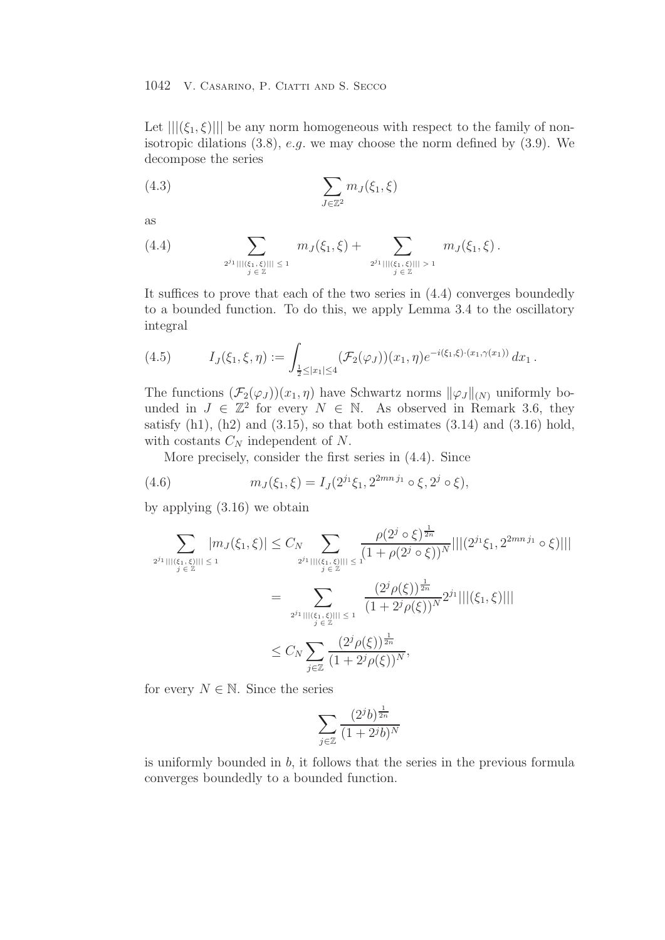Let  $|||(\xi_1, \xi)|||$  be any norm homogeneous with respect to the family of nonisotropic dilations  $(3.8)$ , e.g. we may choose the norm defined by  $(3.9)$ . We decompose the series

(4.3) 
$$
\sum_{J \in \mathbb{Z}^2} m_J(\xi_1, \xi)
$$

as

$$
(4.4) \qquad \qquad \sum_{2^{j_1}|||\langle\xi_1,\xi\rangle||| \,\leq\, 1} m_J(\xi_1,\xi) + \sum_{2^{j_1}|||\langle\xi_1,\xi\rangle||| > 1} m_J(\xi_1,\xi).
$$

It suffices to prove that each of the two series in (4.4) converges boundedly to a bounded function. To do this, we apply Lemma 3.4 to the oscillatory integral

(4.5) 
$$
I_J(\xi_1,\xi,\eta) := \int_{\frac{1}{2} \leq |x_1| \leq 4} (\mathcal{F}_2(\varphi_J))(x_1,\eta) e^{-i(\xi_1,\xi)\cdot (x_1,\gamma(x_1))} dx_1.
$$

The functions  $(\mathcal{F}_2(\varphi_J))(x_1,\eta)$  have Schwartz norms  $\|\varphi_J\|_{(N)}$  uniformly bounded in  $J \in \mathbb{Z}^2$  for every  $N \in \mathbb{N}$ . As observed in Remark 3.6, they satisfy  $(h1)$ ,  $(h2)$  and  $(3.15)$ , so that both estimates  $(3.14)$  and  $(3.16)$  hold, with costants  $C_N$  independent of N.

More precisely, consider the first series in (4.4). Since

(4.6) 
$$
m_J(\xi_1,\xi) = I_J(2^{j_1}\xi_1, 2^{2mn j_1} \circ \xi, 2^j \circ \xi),
$$

by applying (3.16) we obtain

$$
\sum_{2^{j_1}|||\langle\xi_1,\xi\rangle||| \leq 1} |m_j(\xi_1,\xi)| \leq C_N \sum_{2^{j_1}|||\langle\xi_1,\xi\rangle||| \leq 1} \frac{\rho(2^j \circ \xi)^{\frac{1}{2n}}}{(1+\rho(2^j \circ \xi))^N} |||(2^{j_1}\xi_1,2^{2mnj_1} \circ \xi)|||
$$
  

$$
= \sum_{2^{j_1}|||\langle\xi_1,\xi\rangle||| \leq 1} \frac{(2^j \rho(\xi))^{\frac{1}{2n}}}{(1+2^j \rho(\xi))^N} 2^{j_1} |||(\xi_1,\xi)|||
$$
  

$$
\leq C_N \sum_{j\in\mathbb{Z}} \frac{(2^j \rho(\xi))^{\frac{1}{2n}}}{(1+2^j \rho(\xi))^N},
$$

for every  $N \in \mathbb{N}$ . Since the series

$$
\sum_{j \in \mathbb{Z}} \frac{(2^j b)^{\frac{1}{2n}}}{(1 + 2^j b)^N}
$$

is uniformly bounded in b, it follows that the series in the previous formula converges boundedly to a bounded function.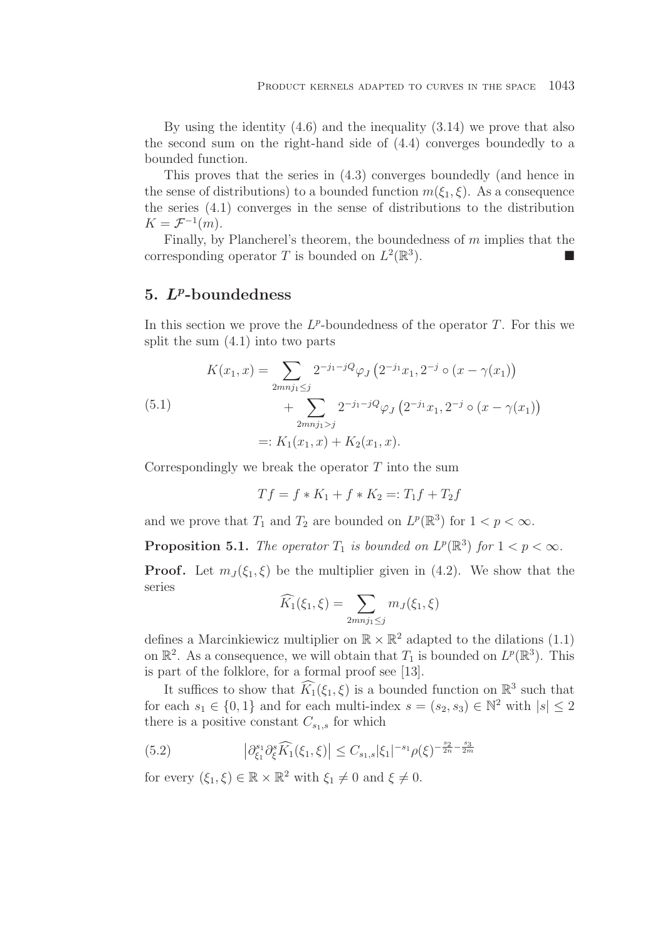By using the identity (4.6) and the inequality (3.14) we prove that also the second sum on the right-hand side of (4.4) converges boundedly to a bounded function.

This proves that the series in (4.3) converges boundedly (and hence in the sense of distributions) to a bounded function  $m(\xi_1, \xi)$ . As a consequence the series (4.1) converges in the sense of distributions to the distribution  $K = \mathcal{F}^{-1}(m).$ 

Finally, by Plancherel's theorem, the boundedness of  $m$  implies that the corresponding operator T is bounded on  $L^2(\mathbb{R}^3)$ .

# **5.** *Lp***-boundedness**

In this section we prove the  $L^p$ -boundedness of the operator T. For this we split the sum (4.1) into two parts

(5.1)  
\n
$$
K(x_1, x) = \sum_{2mnj_1 \le j} 2^{-j_1 - jQ} \varphi_J \left( 2^{-j_1} x_1, 2^{-j} \circ (x - \gamma(x_1)) \right)
$$
\n
$$
+ \sum_{2mnj_1 > j} 2^{-j_1 - jQ} \varphi_J \left( 2^{-j_1} x_1, 2^{-j} \circ (x - \gamma(x_1)) \right)
$$
\n
$$
=: K_1(x_1, x) + K_2(x_1, x).
$$

Correspondingly we break the operator  $T$  into the sum

$$
Tf = f * K_1 + f * K_2 =: T_1f + T_2f
$$

and we prove that  $T_1$  and  $T_2$  are bounded on  $L^p(\mathbb{R}^3)$  for  $1 < p < \infty$ .

**Proposition 5.1.** *The operator*  $T_1$  *is bounded on*  $L^p(\mathbb{R}^3)$  *for*  $1 < p < \infty$ *.* 

**Proof.** Let  $m<sub>J</sub>(\xi_1, \xi)$  be the multiplier given in (4.2). We show that the series

$$
\widehat{K}_1(\xi_1,\xi)=\sum_{2mnj_1\leq j}m_J(\xi_1,\xi)
$$

defines a Marcinkiewicz multiplier on  $\mathbb{R} \times \mathbb{R}^2$  adapted to the dilations (1.1) on  $\mathbb{R}^2$ . As a consequence, we will obtain that  $T_1$  is bounded on  $L^p(\mathbb{R}^3)$ . This is part of the folklore, for a formal proof see [13].

It suffices to show that  $\widehat{K}_1(\xi_1,\xi)$  is a bounded function on  $\mathbb{R}^3$  such that for each  $s_1 \in \{0, 1\}$  and for each multi-index  $s = (s_2, s_3) \in \mathbb{N}^2$  with  $|s| \leq 2$ there is a positive constant  $C_{s_1,s}$  for which

(5.2) 
$$
\left| \partial_{\xi_1}^{s_1} \partial_{\xi}^{s} \widehat{K_1}(\xi_1, \xi) \right| \leq C_{s_1, s} |\xi_1|^{-s_1} \rho(\xi)^{-\frac{s_2}{2n} - \frac{s_3}{2m}}
$$

for every  $(\xi_1, \xi) \in \mathbb{R} \times \mathbb{R}^2$  with  $\xi_1 \neq 0$  and  $\xi \neq 0$ .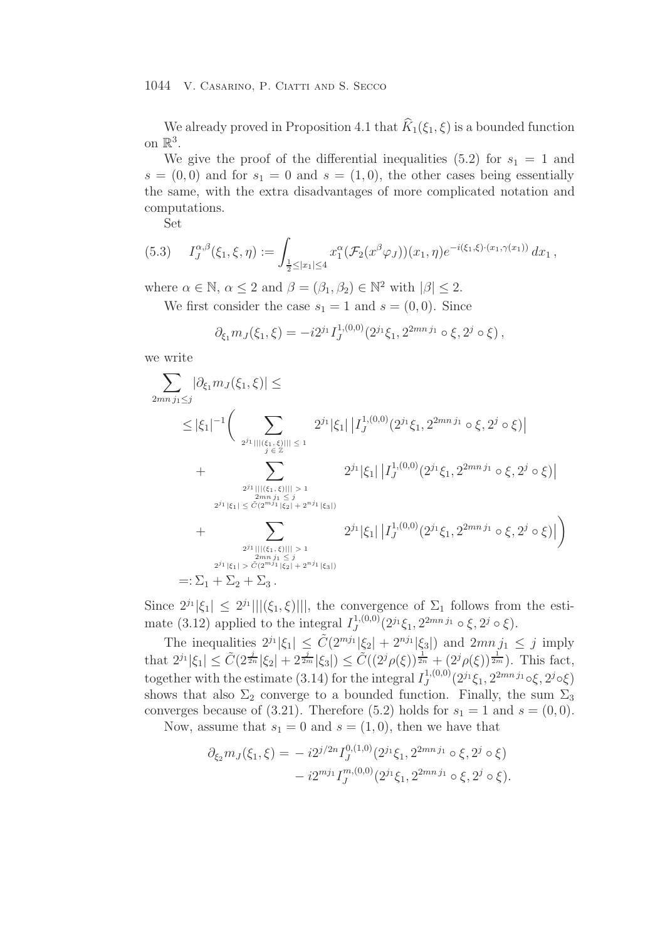We already proved in Proposition 4.1 that  $\widehat{K}_1(\xi_1,\xi)$  is a bounded function on  $\mathbb{R}^3$ .

We give the proof of the differential inequalities (5.2) for  $s_1 = 1$  and  $s = (0, 0)$  and for  $s_1 = 0$  and  $s = (1, 0)$ , the other cases being essentially the same, with the extra disadvantages of more complicated notation and computations.

Set

$$
(5.3) \tI_J^{\alpha,\beta}(\xi_1,\xi,\eta) := \int_{\frac{1}{2} \leq |x_1| \leq 4} x_1^{\alpha} (\mathcal{F}_2(x^{\beta} \varphi_J))(x_1,\eta) e^{-i(\xi_1,\xi)\cdot (x_1,\gamma(x_1))} dx_1,
$$

where  $\alpha \in \mathbb{N}$ ,  $\alpha \leq 2$  and  $\beta = (\beta_1, \beta_2) \in \mathbb{N}^2$  with  $|\beta| \leq 2$ .

We first consider the case  $s_1 = 1$  and  $s = (0, 0)$ . Since

$$
\partial_{\xi_1} m_J(\xi_1, \xi) = -i 2^{j_1} I_J^{1, (0,0)}(2^{j_1} \xi_1, 2^{2mn j_1} \circ \xi, 2^{j} \circ \xi),
$$

we write

$$
\sum_{2mn \, j_1 \leq j} |\partial_{\xi_1} m_J(\xi_1, \xi)| \leq
$$
\n
$$
\leq |\xi_1|^{-1} \Big( \sum_{2^{j_1} |||(\xi_1, \xi)||| \leq 1} 2^{j_1} |\xi_1| |I_J^{1,(0,0)}(2^{j_1} \xi_1, 2^{2mn \, j_1} \circ \xi, 2^j \circ \xi)|
$$
\n
$$
+ \sum_{2^{j_1} |||(\xi_1, \xi)||| > 1 \atop 2mn \, j_1 \leq j} 2^{j_1} |\xi_1| |I_J^{1,(0,0)}(2^{j_1} \xi_1, 2^{2mn \, j_1} \circ \xi, 2^j \circ \xi)|
$$
\n
$$
+ \sum_{2^{j_1} |||(\xi_1, \xi)||| > 1 \atop 2mn \, j_1 \leq j} 2^{j_1} |\xi_1| |I_J^{1,(0,0)}(2^{j_1} \xi_1, 2^{2mn \, j_1} \circ \xi, 2^j \circ \xi)|
$$
\n
$$
+ \sum_{2^{j_1} |||(\xi_1, \xi)||| > 1 \atop 2mn \, j_1 \leq j} 2^{j_1} |\xi_1| |I_J^{1,(0,0)}(2^{j_1} \xi_1, 2^{2mn \, j_1} \circ \xi, 2^j \circ \xi)|
$$
\n
$$
=:\Sigma_1 + \Sigma_2 + \Sigma_3.
$$

Since  $2^{j_1}|\xi_1| \leq 2^{j_1}|||(\xi_1,\xi)|||$ , the convergence of  $\Sigma_1$  follows from the estimate (3.12) applied to the integral  $I_J^{1,(0,0)}(2^{j_1}\xi_1, 2^{2mnj_1} \circ \xi, 2^j \circ \xi)$ .

The inequalities  $2^{j_1}|\xi_1| \leq \tilde{C}(2^{mj_1}|\xi_2| + 2^{nj_1}|\xi_3|)$  and  $2mn_jj_1 \leq j$  imply that  $2^{j_1}|\xi_1| \leq \tilde{C}(2^{\frac{j}{2n}}|\xi_2| + 2^{\frac{j}{2m}}|\xi_3|) \leq \tilde{C}((2^j\rho(\xi))^{\frac{1}{2n}} + (2^j\rho(\xi))^{\frac{1}{2m}})$ . This fact, together with the estimate (3.14) for the integral  $I_J^{1,(0,0)}(2^{j_1}\xi_1, 2^{2mnj_1}\circ \xi, 2^{j}\circ \xi)$ shows that also  $\Sigma_2$  converge to a bounded function. Finally, the sum  $\Sigma_3$ converges because of (3.21). Therefore (5.2) holds for  $s_1 = 1$  and  $s = (0, 0)$ .

Now, assume that  $s_1 = 0$  and  $s = (1, 0)$ , then we have that

$$
\partial_{\xi_2} m_J(\xi_1, \xi) = -i 2^{j/2n} I_J^{0,(1,0)}(2^{j_1} \xi_1, 2^{2mn j_1} \circ \xi, 2^j \circ \xi)
$$

$$
-i 2^{mj_1} I_J^{m,(0,0)}(2^{j_1} \xi_1, 2^{2mn j_1} \circ \xi, 2^j \circ \xi).
$$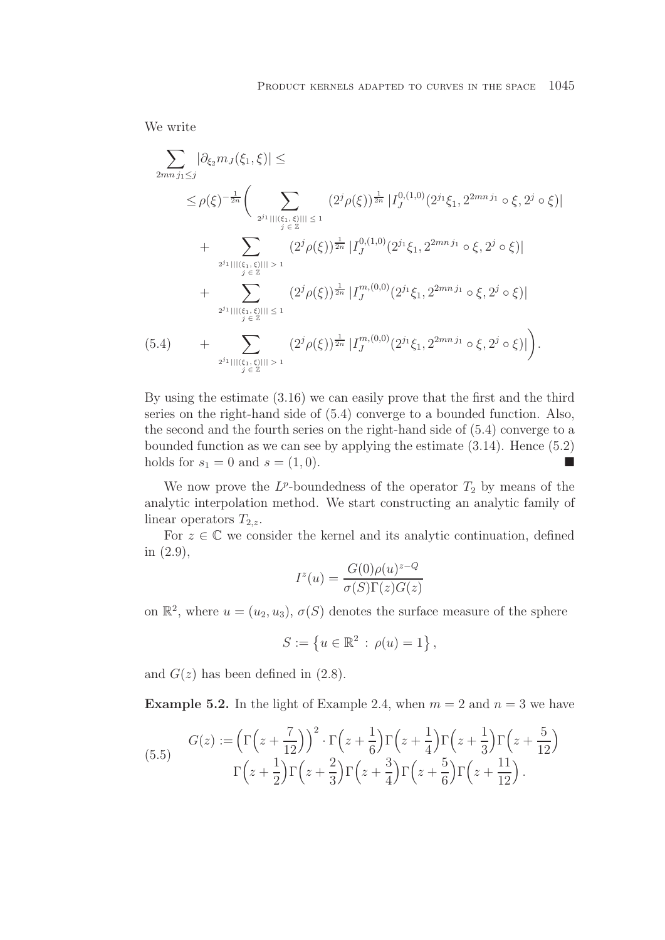We write

$$
\sum_{2mnj_1\leq j} |\partial_{\xi_2} m_J(\xi_1,\xi)| \leq
$$
\n
$$
\leq \rho(\xi)^{-\frac{1}{2n}} \Big( \sum_{2^{j_1}|\mid |(\xi_1,\xi)| \mid 1 \leq 1} (2^{j_1} \rho(\xi))^{\frac{1}{2n}} |I_J^{0,(1,0)}(2^{j_1}\xi_1, 2^{2mnj_1} \circ \xi, 2^{j_1} \circ \xi)|
$$
\n
$$
+ \sum_{2^{j_1}|\mid |(\xi_1,\xi)| \mid 1 \leq 1} (2^{j_1} \rho(\xi))^{\frac{1}{2n}} |I_J^{0,(1,0)}(2^{j_1}\xi_1, 2^{2mnj_1} \circ \xi, 2^{j_1} \circ \xi)|
$$
\n
$$
+ \sum_{2^{j_1}|\mid |(\xi_1,\xi)| \mid 1 \leq 1} (2^{j_1} \rho(\xi))^{\frac{1}{2n}} |I_J^{m,(0,0)}(2^{j_1}\xi_1, 2^{2mnj_1} \circ \xi, 2^{j_1} \circ \xi)|
$$
\n
$$
(5.4) \qquad + \sum_{2^{j_1}|\mid |(\xi_1,\xi)| \mid 1 \leq 1} (2^{j_1} \rho(\xi))^{\frac{1}{2n}} |I_J^{m,(0,0)}(2^{j_1}\xi_1, 2^{2mnj_1} \circ \xi, 2^{j_1} \circ \xi)|
$$
\n
$$
+ \sum_{2^{j_1}|\mid |(\xi_1,\xi)| \mid 1 \leq 1} (2^{j_1} \rho(\xi))^{\frac{1}{2n}} |I_J^{m,(0,0)}(2^{j_1}\xi_1, 2^{2mnj_1} \circ \xi, 2^{j_1} \circ \xi)|.
$$

By using the estimate (3.16) we can easily prove that the first and the third series on the right-hand side of (5.4) converge to a bounded function. Also, the second and the fourth series on the right-hand side of (5.4) converge to a bounded function as we can see by applying the estimate (3.14). Hence (5.2) holds for  $s_1 = 0$  and  $s = (1, 0)$ .  $\mathcal{L}_{\mathcal{A}}$ 

We now prove the  $L^p$ -boundedness of the operator  $T_2$  by means of the analytic interpolation method. We start constructing an analytic family of linear operators  $T_{2,z}$ .

For  $z \in \mathbb{C}$  we consider the kernel and its analytic continuation, defined in (2.9),

$$
I^{z}(u) = \frac{G(0)\rho(u)^{z-Q}}{\sigma(S)\Gamma(z)G(z)}
$$

on  $\mathbb{R}^2$ , where  $u = (u_2, u_3), \sigma(S)$  denotes the surface measure of the sphere

$$
S := \{ u \in \mathbb{R}^2 \, : \, \rho(u) = 1 \},
$$

and  $G(z)$  has been defined in  $(2.8)$ .

**Example 5.2.** In the light of Example 2.4, when  $m = 2$  and  $n = 3$  we have

(5.5) 
$$
G(z) := \left(\Gamma\left(z + \frac{7}{12}\right)\right)^2 \cdot \Gamma\left(z + \frac{1}{6}\right) \Gamma\left(z + \frac{1}{4}\right) \Gamma\left(z + \frac{1}{3}\right) \Gamma\left(z + \frac{5}{12}\right)
$$

$$
\Gamma\left(z + \frac{1}{2}\right) \Gamma\left(z + \frac{2}{3}\right) \Gamma\left(z + \frac{3}{4}\right) \Gamma\left(z + \frac{5}{6}\right) \Gamma\left(z + \frac{11}{12}\right).
$$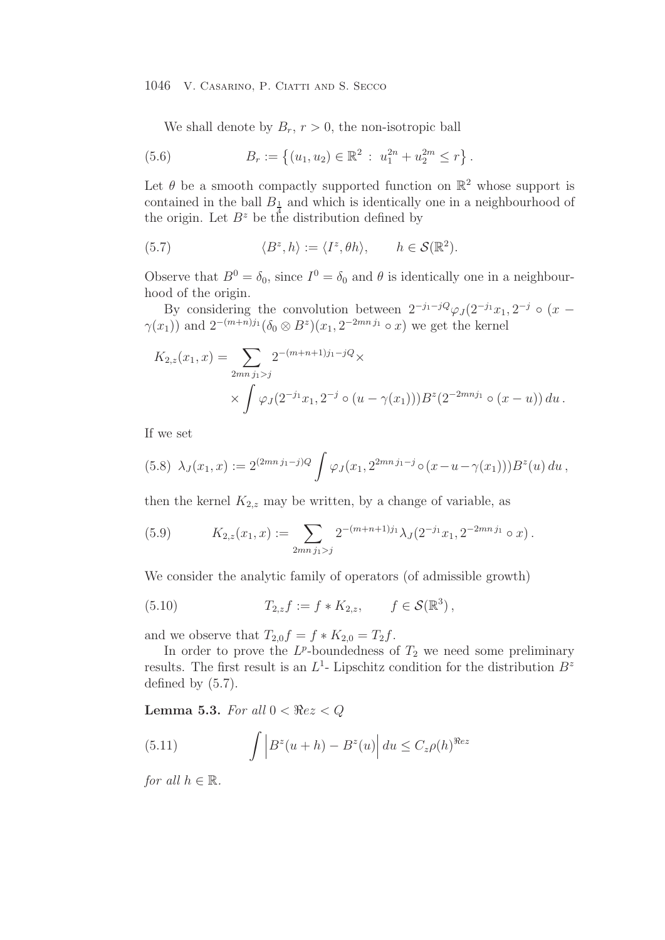We shall denote by  $B_r$ ,  $r > 0$ , the non-isotropic ball

(5.6) 
$$
B_r := \left\{ (u_1, u_2) \in \mathbb{R}^2 : u_1^{2n} + u_2^{2m} \le r \right\}.
$$

Let  $\theta$  be a smooth compactly supported function on  $\mathbb{R}^2$  whose support is contained in the ball  $B_1$  and which is identically one in a neighbourhood of the origin. Let  $B^z$  be the distribution defined by

(5.7) 
$$
\langle B^z, h \rangle := \langle I^z, \theta h \rangle, \quad h \in \mathcal{S}(\mathbb{R}^2).
$$

Observe that  $B^0 = \delta_0$ , since  $I^0 = \delta_0$  and  $\theta$  is identically one in a neighbourhood of the origin.

By considering the convolution between  $2^{-j_1-j}Q_{\varphi} (2^{-j_1}x_1, 2^{-j} \circ (x \gamma(x_1)$  and  $2^{-(m+n)j_1} (\delta_0 \otimes B^z)(x_1, 2^{-2mnj_1} \circ x)$  we get the kernel

$$
K_{2,z}(x_1, x) = \sum_{2mn \, j_1 > j} 2^{-(m+n+1)j_1 - jQ} \times
$$
  
 
$$
\times \int \varphi_j(2^{-j_1}x_1, 2^{-j} \circ (u - \gamma(x_1))) B^z(2^{-2mnj_1} \circ (x - u)) du.
$$

If we set

$$
(5.8)\ \lambda_J(x_1,x) := 2^{(2mn\,j_1-j)Q} \int \varphi_J(x_1, 2^{2mn\,j_1-j} \circ (x - u - \gamma(x_1))) B^z(u) \, du \,,
$$

then the kernel  $K_{2,z}$  may be written, by a change of variable, as

(5.9) 
$$
K_{2,z}(x_1,x) := \sum_{2mn \, j_1 > j} 2^{-(m+n+1)j_1} \lambda_J(2^{-j_1}x_1, 2^{-2mn j_1} \circ x).
$$

We consider the analytic family of operators (of admissible growth)

(5.10) 
$$
T_{2,z}f := f * K_{2,z}, \qquad f \in \mathcal{S}(\mathbb{R}^3),
$$

and we observe that  $T_{2,0}f = f * K_{2,0} = T_2f$ .

In order to prove the  $L^p$ -boundedness of  $T_2$  we need some preliminary results. The first result is an  $L<sup>1</sup>$ - Lipschitz condition for the distribution  $B<sup>z</sup>$ defined by (5.7).

**Lemma 5.3.** *For all*  $0 < \Re ez < Q$ 

(5.11) 
$$
\int \left| B^z(u+h) - B^z(u) \right| du \leq C_z \rho(h)^{\Re ez}
$$

*for all*  $h \in \mathbb{R}$ *.*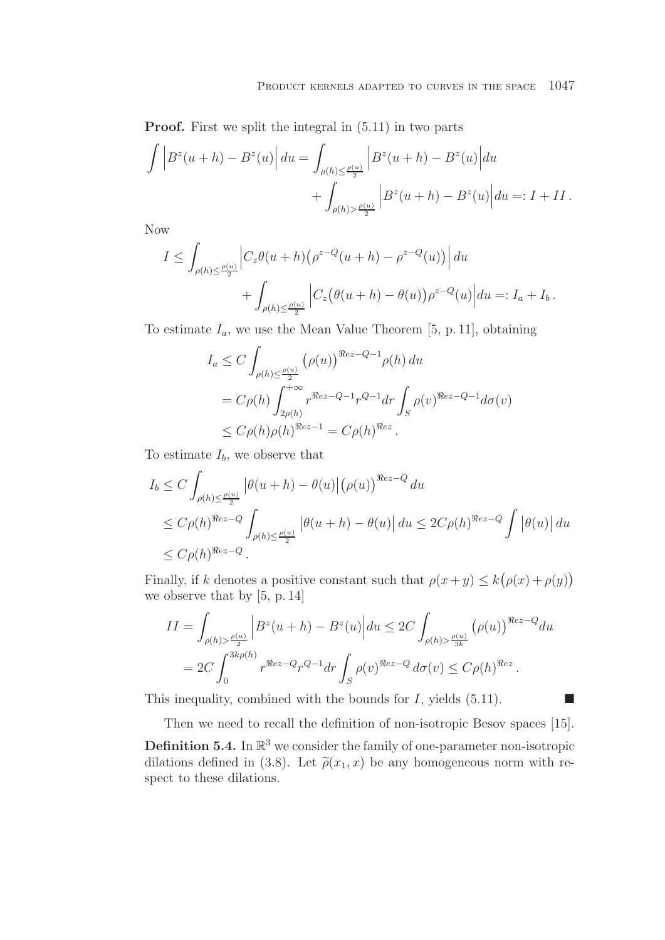**Proof.** First we split the integral in  $(5.11)$  in two parts

$$
\int \left| B^z(u+h) - B^z(u) \right| du = \int_{\rho(h) \le \frac{\rho(u)}{2}} \left| B^z(u+h) - B^z(u) \right| du
$$
  
+ 
$$
\int_{\rho(h) > \frac{\rho(u)}{2}} \left| B^z(u+h) - B^z(u) \right| du =: I + II.
$$

Now

$$
I \leq \int_{\rho(h)\leq \frac{\rho(u)}{2}} \left| C_z \theta(u+h) \left( \rho^{z-Q}(u+h) - \rho^{z-Q}(u) \right) \right| du
$$
  
+ 
$$
\int_{\rho(h)\leq \frac{\rho(u)}{2}} \left| C_z (\theta(u+h) - \theta(u)) \rho^{z-Q}(u) \right| du =: I_a + I_b.
$$

To estimate  $I_a$ , we use the Mean Value Theorem [5, p. 11], obtaining

$$
I_a \leq C \int_{\rho(h) \leq \frac{\rho(u)}{2}} (\rho(u))^{\Re ez - Q - 1} \rho(h) du
$$
  
=  $C \rho(h) \int_{2\rho(h)}^{+\infty} r^{\Re ez - Q - 1} r^{Q - 1} dr \int_S \rho(v)^{\Re ez - Q - 1} d\sigma(v)$   
 $\leq C \rho(h) \rho(h)^{\Re ez - 1} = C \rho(h)^{\Re z}.$ 

To estimate  $I_b$ , we observe that

$$
I_b \leq C \int_{\rho(h) \leq \frac{\rho(u)}{2}} \left| \theta(u+h) - \theta(u) \right| (\rho(u))^{Rez - Q} du
$$
  
\n
$$
\leq C \rho(h)^{Rez - Q} \int_{\rho(h) \leq \frac{\rho(u)}{2}} \left| \theta(u+h) - \theta(u) \right| du \leq 2C \rho(h)^{Rez - Q} \int \left| \theta(u) \right| du
$$
  
\n
$$
\leq C \rho(h)^{Rez - Q}.
$$

Finally, if k denotes a positive constant such that  $\rho(x+y) \leq k(\rho(x)+\rho(y))$ we observe that by [5, p. 14]

$$
II = \int_{\rho(h) > \frac{\rho(u)}{2}} \left| B^z(u+h) - B^z(u) \right| du \leq 2C \int_{\rho(h) > \frac{\rho(u)}{3k}} \left( \rho(u) \right)^{\Re ez - Q} du
$$
  
= 2C \int\_0^{3k\rho(h)} r^{\Re ez - Q} r^{Q-1} dr \int\_S \rho(v)^{\Re ez - Q} d\sigma(v) \leq C\rho(h)^{\Re ez}.

This inequality, combined with the bounds for  $I$ , yields  $(5.11)$ .

Then we need to recall the definition of non-isotropic Besov spaces [15].

 $\Box$ 

**Definition 5.4.** In  $\mathbb{R}^3$  we consider the family of one-parameter non-isotropic dilations defined in (3.8). Let  $\tilde{\rho}(x_1, x)$  be any homogeneous norm with respect to these dilations.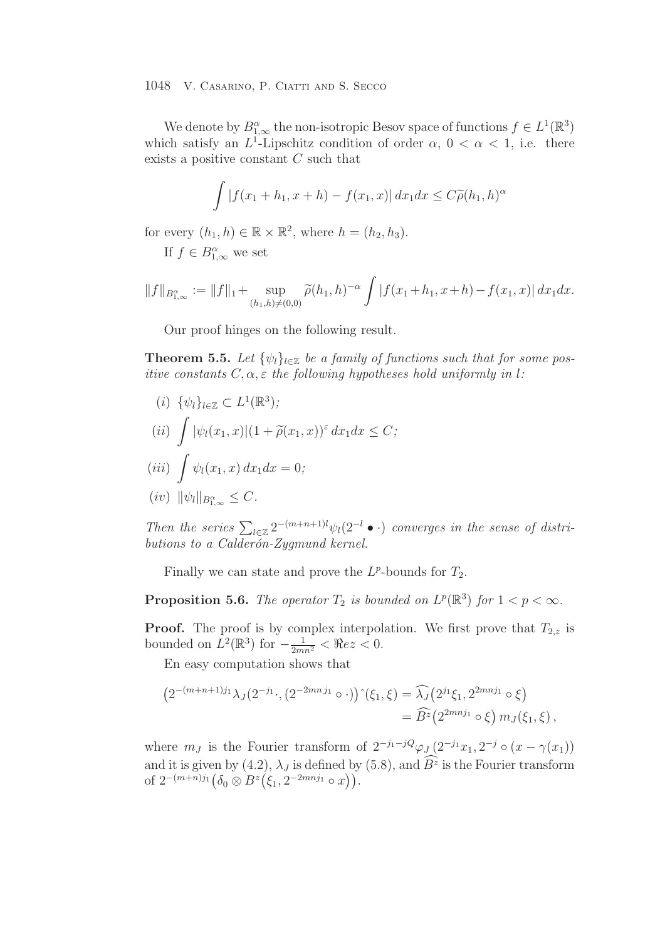We denote by  $B_{1,\infty}^{\alpha}$  the non-isotropic Besov space of functions  $f \in L^1(\mathbb{R}^3)$ which satisfy an  $L^1$ -Lipschitz condition of order  $\alpha$ ,  $0 < \alpha < 1$ , i.e. there exists a positive constant C such that

$$
\int |f(x_1+h_1,x+h) - f(x_1,x)| dx_1 dx \le C\widetilde{\rho}(h_1,h)^\alpha
$$

for every  $(h_1, h) \in \mathbb{R} \times \mathbb{R}^2$ , where  $h = (h_2, h_3)$ .

If  $f \in B^{\alpha}_{1,\infty}$  we set

$$
||f||_{B_{1,\infty}^{\alpha}} := ||f||_1 + \sup_{(h_1,h)\neq(0,0)} \widetilde{\rho}(h_1,h)^{-\alpha} \int |f(x_1+h_1,x+h) - f(x_1,x)| dx_1 dx.
$$

Our proof hinges on the following result.

**Theorem 5.5.** Let  $\{\psi_l\}_{l \in \mathbb{Z}}$  be a family of functions such that for some pos*itive constants* C, α, ε *the following hypotheses hold uniformly in* l*:*

(i)  $\{\psi_l\}_{l \in \mathbb{Z}} \subset L^1(\mathbb{R}^3);$  $(ii)$  $\int |\psi_l(x_1, x)|(1 + \widetilde{\rho}(x_1, x))^{\varepsilon} dx_1 dx \leq C;$ 

$$
(iii) \int \psi_l(x_1, x) dx_1 dx = 0;
$$
  

$$
(iv) \|\psi_l\|_{B^{\alpha}_{1,\infty}} \leq C.
$$

Then the series  $\sum_{l\in\mathbb{Z}} 2^{-(m+n+1)l} \psi_l(2^{-l} \bullet \cdot)$  *converges in the sense of distributions to a Calder´on-Zygmund kernel.*

Finally we can state and prove the  $L^p$ -bounds for  $T_2$ .

**Proposition 5.6.** *The operator*  $T_2$  *is bounded on*  $L^p(\mathbb{R}^3)$  *for*  $1 < p < \infty$ *.* 

**Proof.** The proof is by complex interpolation. We first prove that  $T_{2,z}$  is bounded on  $L^2(\mathbb{R}^3)$  for  $-\frac{1}{2mn^2} < \Re ez < 0$ .

En easy computation shows that

$$
(2^{-(m+n+1)j_1}\lambda_J(2^{-j_1}\cdot,(2^{-2mnj_1}\circ\cdot))^{\hat{}}(\xi_1,\xi)=\widehat{\lambda_J}(2^{j_1}\xi_1,2^{2mnj_1}\circ\xi)
$$
  
=  $\widehat{B}^z(2^{2mnj_1}\circ\xi) m_J(\xi_1,\xi)$ ,

where  $m_J$  is the Fourier transform of  $2^{-j_1-j} \varphi_{J} (2^{-j_1} x_1, 2^{-j} \circ (x - \gamma(x_1))$ and it is given by (4.2),  $\lambda_J$  is defined by (5.8), and  $\widehat{B}^z$  is the Fourier transform of  $2^{-(m+n)j_1} (\delta_0 \otimes B^z (\xi_1, 2^{-2mnj_1} \circ x)).$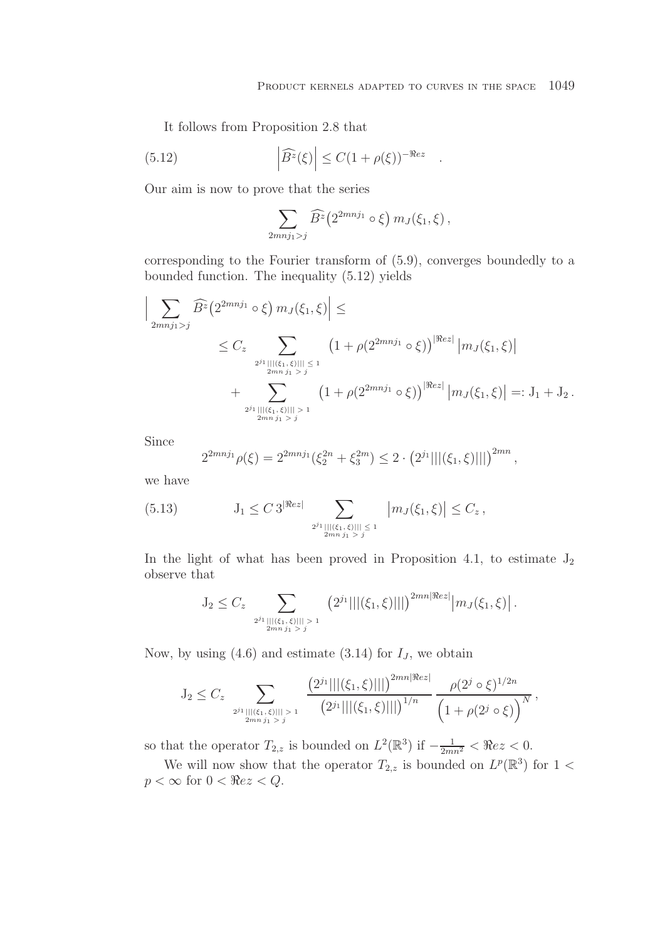It follows from Proposition 2.8 that

(5.12) 
$$
\left| \widehat{B}^z(\xi) \right| \leq C (1 + \rho(\xi))^{-\Re ez} .
$$

Our aim is now to prove that the series

$$
\sum_{2mnj_1>j}\widehat{B}^z(2^{2mnj_1}\circ\xi) m_J(\xi_1,\xi),
$$

corresponding to the Fourier transform of (5.9), converges boundedly to a bounded function. The inequality (5.12) yields

$$
\left| \sum_{2mnj_1 > j} \widehat{B}^z \left( 2^{2mnj_1} \circ \xi \right) m_J(\xi_1, \xi) \right| \le
$$
  
 
$$
\leq C_z \sum_{2^{j_1} || |(\xi_1, \xi)|| \leq 1 \atop 2mnj_1 > j} \left( 1 + \rho (2^{2mnj_1} \circ \xi) \right)^{|\Re ez|} |m_J(\xi_1, \xi)|
$$
  
 
$$
+ \sum_{2^{j_1} || |(\xi_1, \xi)|| \geq 1 \atop 2mnj_1 > j} \left( 1 + \rho (2^{2mnj_1} \circ \xi) \right)^{|\Re ez|} |m_J(\xi_1, \xi)| =: J_1 + J_2.
$$

Since

$$
2^{2mnj_1}\rho(\xi) = 2^{2mnj_1}(\xi_2^{2n} + \xi_3^{2m}) \le 2 \cdot \left(2^{j_1}|||(\xi_1, \xi)|||\right)^{2mn},
$$

we have

(5.13) 
$$
J_1 \leq C 3^{|\Re(z)|} \sum_{\substack{2^{j_1} |||(\xi_1,\xi)||| \leq 1 \\ 2mn \ j_1 > j}} |m_J(\xi_1,\xi)| \leq C_z,
$$

In the light of what has been proved in Proposition 4.1, to estimate  $J_2$ observe that

$$
J_2 \leq C_z \sum_{\substack{2^{j_1} | |(\xi_1,\xi)|| > 1 \\ 2mn \ j_1 > j}} \left(2^{j_1}|||(\xi_1,\xi)|||\right)^{2mn |\Re ez|} |m_J(\xi_1,\xi)|.
$$

Now, by using  $(4.6)$  and estimate  $(3.14)$  for  $I_J$ , we obtain

$$
J_2 \leq C_z \sum_{2^{j_1} \mid ||(\xi_1,\xi)|||>1 \atop 2mn j_1 > j} \frac{\left(2^{j_1} \mid ||(\xi_1,\xi)||| \right)^{2mn |\Re ez|}}{\left(2^{j_1} \mid ||(\xi_1,\xi)||| \right)^{1/n}} \frac{\rho(2^{j} \circ \xi)^{1/2n}}{\left(1 + \rho(2^{j} \circ \xi)\right)^N},
$$

so that the operator  $T_{2,z}$  is bounded on  $L^2(\mathbb{R}^3)$  if  $-\frac{1}{2mn^2} < \Re ez < 0$ .

We will now show that the operator  $T_{2,z}$  is bounded on  $L^p(\mathbb{R}^3)$  for  $1 <$  $p < \infty$  for  $0 < \Re ez < Q$ .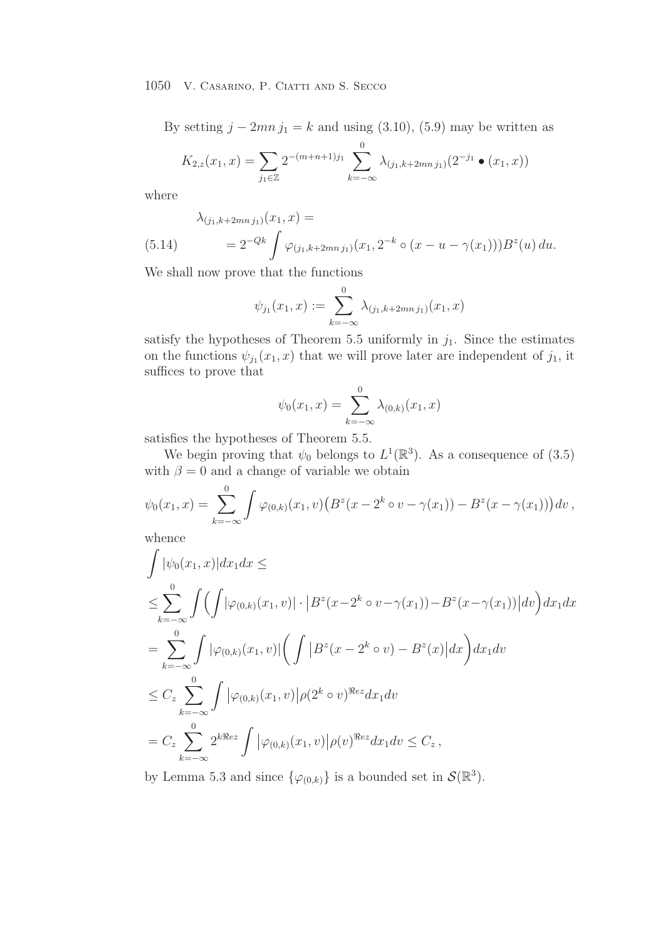By setting  $j - 2mn j_1 = k$  and using (3.10), (5.9) may be written as

$$
K_{2,z}(x_1,x) = \sum_{j_1 \in \mathbb{Z}} 2^{-(m+n+1)j_1} \sum_{k=-\infty}^{0} \lambda_{(j_1,k+2mnj_1)}(2^{-j_1} \bullet (x_1,x))
$$

where

$$
\lambda_{(j_1,k+2mn\,j_1)}(x_1,x) =
$$
\n
$$
(5.14) \qquad = 2^{-Qk} \int \varphi_{(j_1,k+2mn\,j_1)}(x_1, 2^{-k} \circ (x - u - \gamma(x_1))) B^z(u) \, du.
$$

We shall now prove that the functions

$$
\psi_{j_1}(x_1,x) := \sum_{k=-\infty}^{0} \lambda_{(j_1,k+2mnj_1)}(x_1,x)
$$

satisfy the hypotheses of Theorem 5.5 uniformly in  $j_1$ . Since the estimates on the functions  $\psi_{j_1}(x_1, x)$  that we will prove later are independent of  $j_1$ , it suffices to prove that

$$
\psi_0(x_1, x) = \sum_{k=-\infty}^{0} \lambda_{(0,k)}(x_1, x)
$$

satisfies the hypotheses of Theorem 5.5.

We begin proving that  $\psi_0$  belongs to  $L^1(\mathbb{R}^3)$ . As a consequence of (3.5) with  $\beta = 0$  and a change of variable we obtain

$$
\psi_0(x_1,x) = \sum_{k=-\infty}^0 \int \varphi_{(0,k)}(x_1,v) \left( B^z(x - 2^k \circ v - \gamma(x_1)) - B^z(x - \gamma(x_1)) \right) dv,
$$

whence

$$
\int |\psi_0(x_1, x)| dx_1 dx \le
$$
\n
$$
\le \sum_{k=-\infty}^0 \int \left( \int |\varphi_{(0,k)}(x_1, v)| \cdot |B^z(x - 2^k \circ v - \gamma(x_1)) - B^z(x - \gamma(x_1))| dv \right) dx_1 dx
$$
\n
$$
= \sum_{k=-\infty}^0 \int |\varphi_{(0,k)}(x_1, v)| \left( \int |B^z(x - 2^k \circ v) - B^z(x)| dx \right) dx_1 dv
$$
\n
$$
\le C_z \sum_{k=-\infty}^0 \int |\varphi_{(0,k)}(x_1, v)| \rho(2^k \circ v)^{\Re ez} dx_1 dv
$$
\n
$$
= C_z \sum_{k=-\infty}^0 2^{k \Re ez} \int |\varphi_{(0,k)}(x_1, v)| \rho(v)^{\Re ez} dx_1 dv \le C_z,
$$

by Lemma 5.3 and since  $\{\varphi_{(0,k)}\}$  is a bounded set in  $\mathcal{S}(\mathbb{R}^3)$ .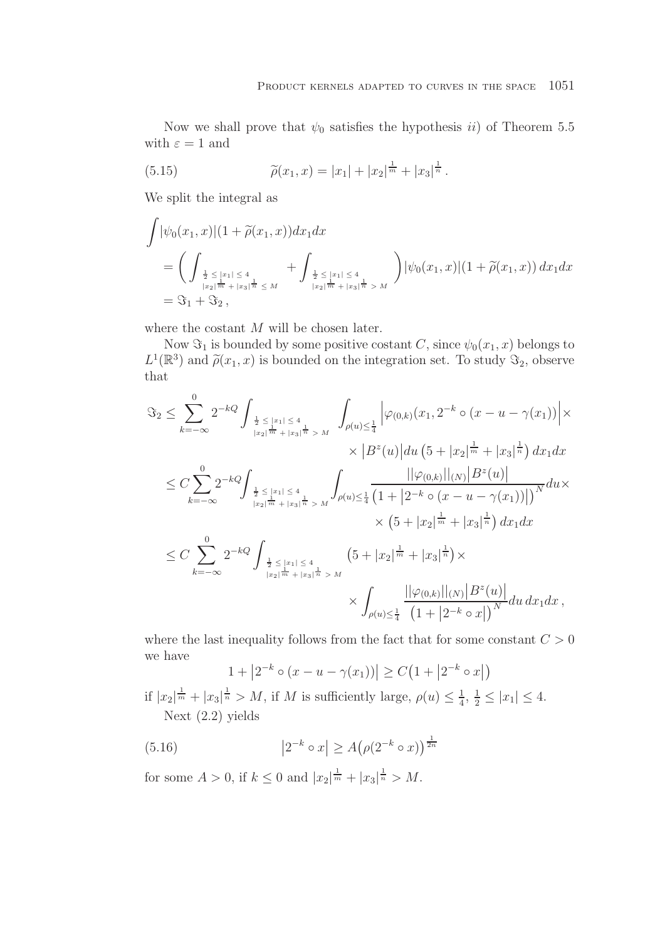Now we shall prove that  $\psi_0$  satisfies the hypothesis *ii*) of Theorem 5.5 with  $\varepsilon = 1$  and

(5.15) 
$$
\widetilde{\rho}(x_1, x) = |x_1| + |x_2|^{\frac{1}{m}} + |x_3|^{\frac{1}{n}}.
$$

We split the integral as

$$
\int |\psi_0(x_1, x)| (1 + \tilde{\rho}(x_1, x)) dx_1 dx
$$
\n
$$
= \left( \int_{\frac{1}{2} \leq |x_1| \leq 4 \atop |x_2| \frac{1}{m} + |x_3| \frac{1}{n} \leq M} + \int_{\frac{1}{2} \leq |x_1| \leq 4 \atop |x_2| \frac{1}{m} + |x_3| \frac{1}{n} > M} \right) |\psi_0(x_1, x)| (1 + \tilde{\rho}(x_1, x)) dx_1 dx
$$
\n
$$
= \Im_1 + \Im_2,
$$

where the costant M will be chosen later.

Now  $\Im_1$  is bounded by some positive costant C, since  $\psi_0(x_1, x)$  belongs to  $L^1(\mathbb{R}^3)$  and  $\tilde{\rho}(x_1, x)$  is bounded on the integration set. To study  $\Im_2$ , observe that

$$
\Im_2 \leq \sum_{k=-\infty}^0 2^{-kQ} \int_{\frac{1}{2} \leq |x_1| \leq 4 \atop |x_2|^{\frac{1}{m}} + |x_3|^{\frac{1}{n}} > M} \int_{\rho(u) \leq \frac{1}{4}} \left| \varphi_{(0,k)}(x_1, 2^{-k} \circ (x - u - \gamma(x_1)) \right| \times \times \left| B^z(u) \right| du \left( 5 + |x_2|^{\frac{1}{m}} + |x_3|^{\frac{1}{n}} \right) dx_1 dx
$$
  
\n
$$
\leq C \sum_{k=-\infty}^0 2^{-kQ} \int_{\frac{1}{2} \leq |x_1| \leq 4 \atop |x_2|^{\frac{1}{m}} + |x_3|^{\frac{1}{n}} > M} \int_{\rho(u) \leq \frac{1}{4}} \frac{\left| |\varphi_{(0,k)}| \right| |(N) |B^z(u)|}{\left( 1 + |2^{-k} \circ (x - u - \gamma(x_1))| \right)^N} du \times \times \left( 5 + |x_2|^{\frac{1}{m}} + |x_3|^{\frac{1}{n}} \right) dx_1 dx
$$
  
\n
$$
\leq C \sum_{k=-\infty}^0 2^{-kQ} \int_{\frac{1}{2} \leq |x_1| \leq 4 \atop |x_2|^{\frac{1}{m}} + |x_3|^{\frac{1}{n}} > M} \left( 5 + |x_2|^{\frac{1}{m}} + |x_3|^{\frac{1}{n}} \right) \times \int_{\rho(u) \leq \frac{1}{4}} \frac{\left| |\varphi_{(0,k)}| \right| |(N) |B^z(u)|}{\left( 1 + |2^{-k} \circ x| \right)^N} du \, dx_1 dx,
$$

where the last inequality follows from the fact that for some constant  $C > 0$ we have

$$
1 + |2^{-k} \circ (x - u - \gamma(x_1))| \ge C(1 + |2^{-k} \circ x|)
$$

if  $|x_2|^{\frac{1}{m}} + |x_3|^{\frac{1}{n}} > M$ , if M is sufficiently large,  $\rho(u) \leq \frac{1}{4}$ ,  $\frac{1}{2} \leq |x_1| \leq 4$ . Next (2.2) yields

(5.16) 
$$
|2^{-k} \circ x| \ge A(\rho(2^{-k} \circ x))^{\frac{1}{2n}}
$$

for some  $A > 0$ , if  $k \leq 0$  and  $|x_2|^{\frac{1}{m}} + |x_3|^{\frac{1}{n}} > M$ .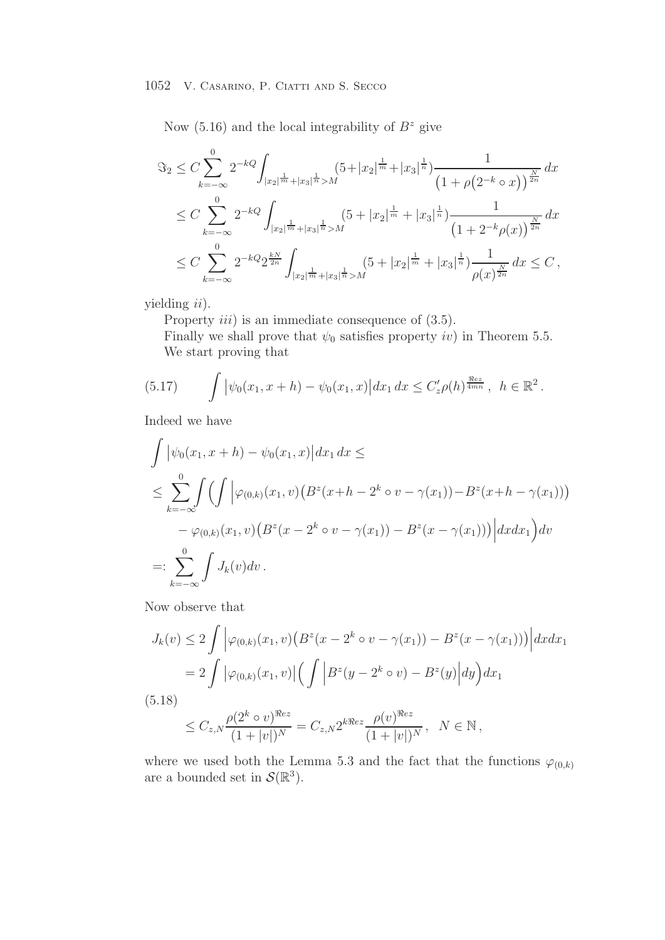Now  $(5.16)$  and the local integrability of  $B^z$  give

$$
\Im_2 \leq C \sum_{k=-\infty}^0 2^{-kQ} \int_{|x_2|^{\frac{1}{m}} + |x_3|^{\frac{1}{n}} > M} (5 + |x_2|^{\frac{1}{m}} + |x_3|^{\frac{1}{n}}) \frac{1}{\left(1 + \rho(2^{-k} \circ x)\right)^{\frac{N}{2n}}} dx
$$
  
\n
$$
\leq C \sum_{k=-\infty}^0 2^{-kQ} \int_{|x_2|^{\frac{1}{m}} + |x_3|^{\frac{1}{n}} > M} (5 + |x_2|^{\frac{1}{m}} + |x_3|^{\frac{1}{n}}) \frac{1}{\left(1 + 2^{-k} \rho(x)\right)^{\frac{N}{2n}}} dx
$$
  
\n
$$
\leq C \sum_{k=-\infty}^0 2^{-kQ} 2^{\frac{kN}{2n}} \int_{|x_2|^{\frac{1}{m}} + |x_3|^{\frac{1}{n}} > M} (5 + |x_2|^{\frac{1}{m}} + |x_3|^{\frac{1}{n}}) \frac{1}{\rho(x)^{\frac{N}{2n}}} dx \leq C,
$$

yielding *ii*).

Property  $iii)$  is an immediate consequence of  $(3.5)$ .

Finally we shall prove that  $\psi_0$  satisfies property iv) in Theorem 5.5. We start proving that

(5.17) 
$$
\int \left| \psi_0(x_1, x + h) - \psi_0(x_1, x) \right| dx_1 dx \leq C'_z \rho(h)^{\frac{\Re ez}{4mn}}, \quad h \in \mathbb{R}^2.
$$

Indeed we have

$$
\int |\psi_0(x_1, x + h) - \psi_0(x_1, x)| dx_1 dx \le
$$
\n
$$
\le \sum_{k=-\infty}^0 \int \left( \int |\varphi_{(0,k)}(x_1, v) (B^z(x + h - 2^k \circ v - \gamma(x_1)) - B^z(x + h - \gamma(x_1))) - \varphi_{(0,k)}(x_1, v) (B^z(x - 2^k \circ v - \gamma(x_1)) - B^z(x - \gamma(x_1))) \Big| dx dx_1 \right) dv
$$
\n
$$
=: \sum_{k=-\infty}^0 \int J_k(v) dv.
$$

Now observe that

$$
J_k(v) \le 2 \int \left| \varphi_{(0,k)}(x_1, v) \left( B^z(x - 2^k \circ v - \gamma(x_1)) - B^z(x - \gamma(x_1)) \right) \right| dx dx_1
$$
  
= 2 \int \left| \varphi\_{(0,k)}(x\_1, v) \right| \left( \int \left| B^z(y - 2^k \circ v) - B^z(y) \right| dy \right) dx\_1  
(5.18)

$$
\leq C_{z,N} \frac{\rho(2^k \circ v)^{\Re ez}}{(1+|v|)^N} = C_{z,N} 2^{k\Re ez} \frac{\rho(v)^{\Re ez}}{(1+|v|)^N}, \quad N \in \mathbb{N},
$$

where we used both the Lemma 5.3 and the fact that the functions  $\varphi_{(0,k)}$ are a bounded set in  $\mathcal{S}(\mathbb{R}^3)$ .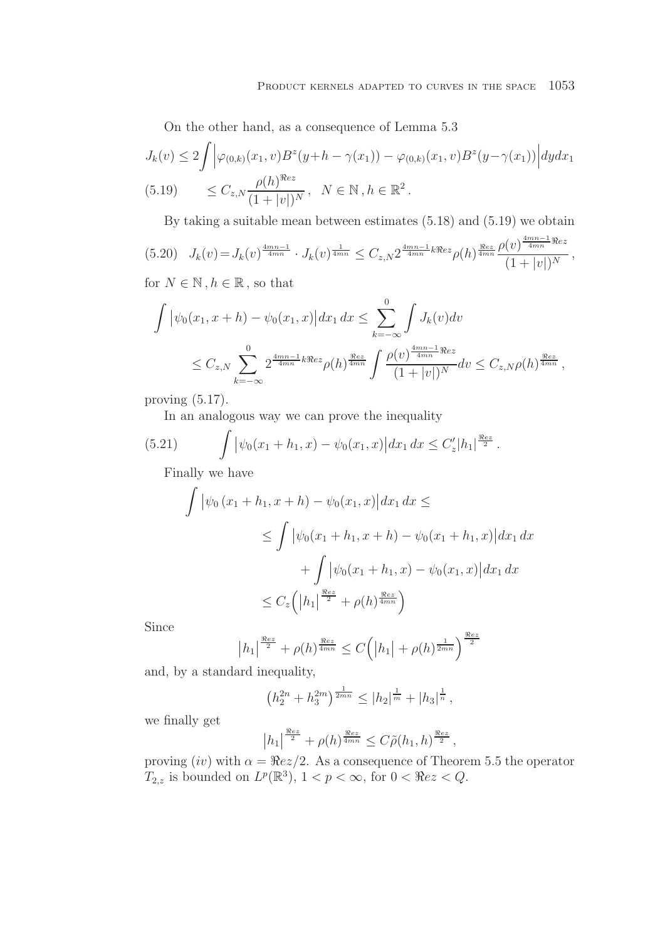On the other hand, as a consequence of Lemma 5.3

$$
J_k(v) \le 2 \int \left| \varphi_{(0,k)}(x_1, v) B^z(y+h - \gamma(x_1)) - \varphi_{(0,k)}(x_1, v) B^z(y-\gamma(x_1)) \right| dy dx_1
$$
  
(5.19) 
$$
\le C_{z,N} \frac{\rho(h)^{\Re ez}}{(1+|v|)^N}, \quad N \in \mathbb{N}, h \in \mathbb{R}^2.
$$

By taking a suitable mean between estimates (5.18) and (5.19) we obtain

$$
(5.20) \quad J_k(v) = J_k(v)^{\frac{4mn-1}{4mn}} \cdot J_k(v)^{\frac{1}{4mn}} \leq C_{z,N} 2^{\frac{4mn-1}{4mn}k\Re ez} \rho(h)^{\frac{\Re ez}{4mn}} \frac{\rho(v)^{\frac{4mn-1}{4mn}\Re ez}}{(1+|v|)^N},
$$

for  $N \in \mathbb{N}$ ,  $h \in \mathbb{R}$ , so that

$$
\int |\psi_0(x_1, x + h) - \psi_0(x_1, x)| dx_1 dx \leq \sum_{k=-\infty}^0 \int J_k(v) dv
$$
  

$$
\leq C_{z,N} \sum_{k=-\infty}^0 2^{\frac{4mn-1}{4mn}k\Re ez} \rho(h)^{\frac{\Re ez}{4mn}} \int \frac{\rho(v)^{\frac{4mn-1}{4mn}\Re ez}}{(1+|v|)^N} dv \leq C_{z,N} \rho(h)^{\frac{\Re ez}{4mn}},
$$

proving (5.17).

In an analogous way we can prove the inequality

(5.21) 
$$
\int \left| \psi_0(x_1 + h_1, x) - \psi_0(x_1, x) \right| dx_1 dx \leq C'_z |h_1|^{\frac{\Re ez}{2}}.
$$

Finally we have

$$
\int \left| \psi_0 (x_1 + h_1, x + h) - \psi_0(x_1, x) \right| dx_1 dx \le
$$
  
\n
$$
\leq \int \left| \psi_0 (x_1 + h_1, x + h) - \psi_0 (x_1 + h_1, x) \right| dx_1 dx
$$
  
\n
$$
+ \int \left| \psi_0 (x_1 + h_1, x) - \psi_0 (x_1, x) \right| dx_1 dx
$$
  
\n
$$
\leq C_z \left( \left| h_1 \right|^{\frac{\Re ez}{2}} + \rho(h)^{\frac{\Re ez}{4mn}} \right)
$$

Since

$$
|h_1|^{\frac{\Re ez}{2}} + \rho(h)^{\frac{\Re ez}{4mn}} \le C(|h_1| + \rho(h)^{\frac{1}{2mn}})^{\frac{\Re ez}{2}}
$$

and, by a standard inequality,

$$
\left(h_2^{2n}+h_3^{2m}\right)^{\frac{1}{2mn}} \leq |h_2|^{\frac{1}{m}}+|h_3|^{\frac{1}{n}},
$$

we finally get

$$
|h_1|^{\frac{\Re ez}{2}} + \rho(h)^{\frac{\Re ez}{4mn}} \leq C\tilde{\rho}(h_1, h)^{\frac{\Re ez}{2}},
$$

proving  $(iv)$  with  $\alpha = \Re ez/2$ . As a consequence of Theorem 5.5 the operator  $T_{2,z}$  is bounded on  $L^p(\mathbb{R}^3)$ ,  $1 < p < \infty$ , for  $0 < \Re e z < Q$ .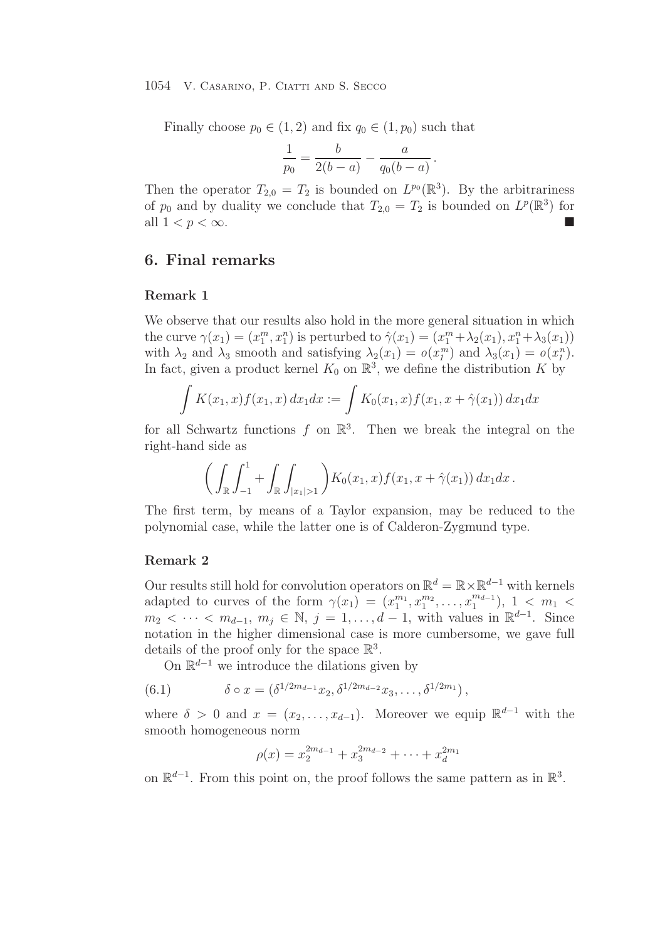Finally choose  $p_0 \in (1,2)$  and fix  $q_0 \in (1,p_0)$  such that

$$
\frac{1}{p_0} = \frac{b}{2(b-a)} - \frac{a}{q_0(b-a)}.
$$

Then the operator  $T_{2,0} = T_2$  is bounded on  $L^{p_0}(\mathbb{R}^3)$ . By the arbitrariness of  $p_0$  and by duality we conclude that  $T_{2,0} = T_2$  is bounded on  $L^p(\mathbb{R}^3)$  for all  $1 < p < \infty$ .

# **6. Final remarks**

#### **Remark 1**

We observe that our results also hold in the more general situation in which the curve  $\gamma(x_1) = (x_1^m, x_1^n)$  is perturbed to  $\hat{\gamma}(x_1) = (x_1^m + \lambda_2(x_1), x_1^n + \lambda_3(x_1))$ with  $\lambda_2$  and  $\lambda_3$  smooth and satisfying  $\lambda_2(x_1) = o(x_1^m)$  and  $\lambda_3(x_1) = o(x_1^n)$ . In fact, given a product kernel  $K_0$  on  $\mathbb{R}^3$ , we define the distribution K by

$$
\int K(x_1, x) f(x_1, x) dx_1 dx := \int K_0(x_1, x) f(x_1, x + \hat{\gamma}(x_1)) dx_1 dx
$$

for all Schwartz functions f on  $\mathbb{R}^3$ . Then we break the integral on the right-hand side as

$$
\bigg(\int_{\mathbb{R}}\int_{-1}^1+\int_{\mathbb{R}}\int_{|x_1|>1}\bigg)K_0(x_1,x)f(x_1,x+\hat{\gamma}(x_1))\,dx_1dx.
$$

The first term, by means of a Taylor expansion, may be reduced to the polynomial case, while the latter one is of Calderon-Zygmund type.

#### **Remark 2**

Our results still hold for convolution operators on  $\mathbb{R}^d = \mathbb{R} \times \mathbb{R}^{d-1}$  with kernels adapted to curves of the form  $\gamma(x_1) = (x_1^{m_1}, x_1^{m_2}, \ldots, x_1^{m_{d-1}}), 1 \leq m_1$  $m_2 < \cdots < m_{d-1}, m_j \in \mathbb{N}, j = 1, \ldots, d-1$ , with values in  $\mathbb{R}^{d-1}$ . Since notation in the higher dimensional case is more cumbersome, we gave full details of the proof only for the space  $\mathbb{R}^3$ .

On  $\mathbb{R}^{d-1}$  we introduce the dilations given by

(6.1) 
$$
\delta \circ x = (\delta^{1/2m_{d-1}} x_2, \delta^{1/2m_{d-2}} x_3, \dots, \delta^{1/2m_1}),
$$

where  $\delta > 0$  and  $x = (x_2, \ldots, x_{d-1})$ . Moreover we equip  $\mathbb{R}^{d-1}$  with the smooth homogeneous norm

$$
\rho(x) = x_2^{2m_{d-1}} + x_3^{2m_{d-2}} + \dots + x_d^{2m_1}
$$

on  $\mathbb{R}^{d-1}$ . From this point on, the proof follows the same pattern as in  $\mathbb{R}^3$ .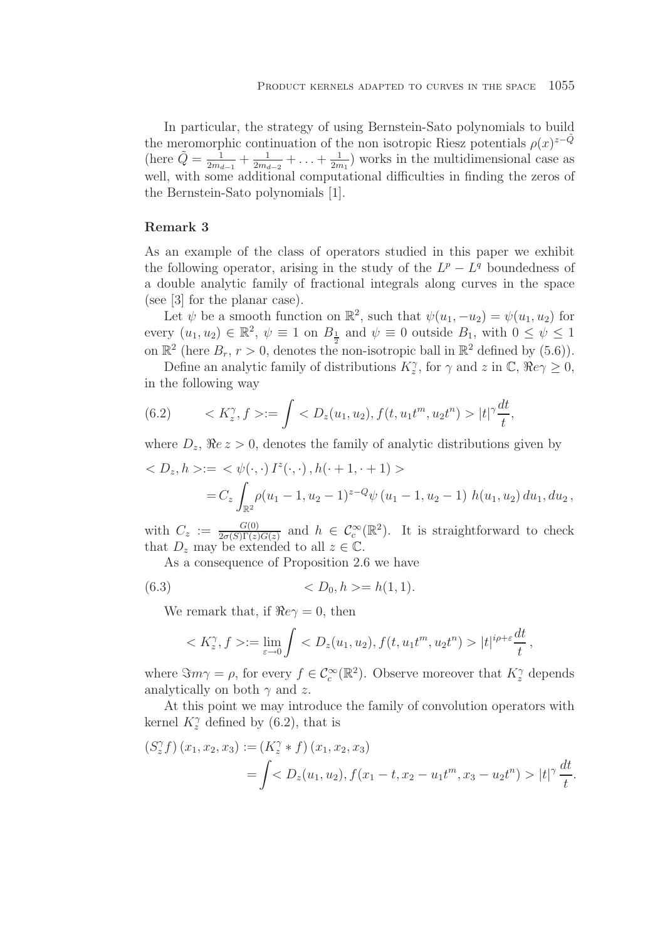In particular, the strategy of using Bernstein-Sato polynomials to build the meromorphic continuation of the non isotropic Riesz potentials  $\rho(x)^{z-Q}$ (here  $\tilde{Q} = \frac{1}{2m_{d-1}} + \frac{1}{2m_{d-2}} + \ldots + \frac{1}{2m_1}$ ) works in the multidimensional case as well, with some additional computational difficulties in finding the zeros of the Bernstein-Sato polynomials [1].

# **Remark 3**

As an example of the class of operators studied in this paper we exhibit the following operator, arising in the study of the  $L^p - L^q$  boundedness of a double analytic family of fractional integrals along curves in the space (see [3] for the planar case).

Let  $\psi$  be a smooth function on  $\mathbb{R}^2$ , such that  $\psi(u_1, -u_2) = \psi(u_1, u_2)$  for every  $(u_1, u_2) \in \mathbb{R}^2$ ,  $\psi \equiv 1$  on  $B_{\frac{1}{2}}$  and  $\psi \equiv 0$  outside  $B_1$ , with  $0 \leq \psi \leq 1$ on  $\mathbb{R}^2$  (here  $B_r$ ,  $r > 0$ , denotes the non-isotropic ball in  $\mathbb{R}^2$  defined by (5.6)).

Define an analytic family of distributions  $K_z^{\gamma}$ , for  $\gamma$  and  $z$  in  $\mathbb{C}$ ,  $\Re e \gamma \geq 0$ , in the following way

(6.2) 
$$
\langle K_z^{\gamma}, f \rangle := \int \langle D_z(u_1, u_2), f(t, u_1 t^m, u_2 t^n) \rangle |t|^{\gamma} \frac{dt}{t},
$$

where  $D_z$ ,  $\Re e \, z > 0$ , denotes the family of analytic distributions given by

$$
\langle D_z, h \rangle := \langle \psi(\cdot, \cdot) I^z(\cdot, \cdot), h(\cdot + 1, \cdot + 1) \rangle
$$
  
=  $C_z \int_{\mathbb{R}^2} \rho(u_1 - 1, u_2 - 1)^{z - Q} \psi(u_1 - 1, u_2 - 1) h(u_1, u_2) du_1, du_2,$ 

with  $C_z := \frac{G(0)}{2\sigma(S)\Gamma(z)G(z)}$  and  $h \in C_c^{\infty}(\mathbb{R}^2)$ . It is straightforward to check that  $D_z$  may be extended to all  $z \in \mathbb{C}$ .

As a consequence of Proposition 2.6 we have

$$
(6.3) \t < D_0, h > = h(1, 1).
$$

We remark that, if  $\Re e \gamma = 0$ , then

$$
\langle K_z^{\gamma}, f \rangle := \lim_{\varepsilon \to 0} \int \langle D_z(u_1, u_2), f(t, u_1 t^m, u_2 t^n) \rangle |t|^{i\rho + \varepsilon} \frac{dt}{t},
$$

where  $\Im m\gamma = \rho$ , for every  $f \in C_c^{\infty}(\mathbb{R}^2)$ . Observe moreover that  $K_{\chi}^{\gamma}$  depends analytically on both  $\gamma$  and z.

At this point we may introduce the family of convolution operators with kernel  $K_2^{\gamma}$  defined by (6.2), that is

$$
(S_z^{\gamma} f) (x_1, x_2, x_3) := (K_z^{\gamma} * f) (x_1, x_2, x_3)
$$
  
=  $\int \langle D_z(u_1, u_2), f(x_1 - t, x_2 - u_1 t^m, x_3 - u_2 t^n) \rangle |t|^{\gamma} \frac{dt}{t}.$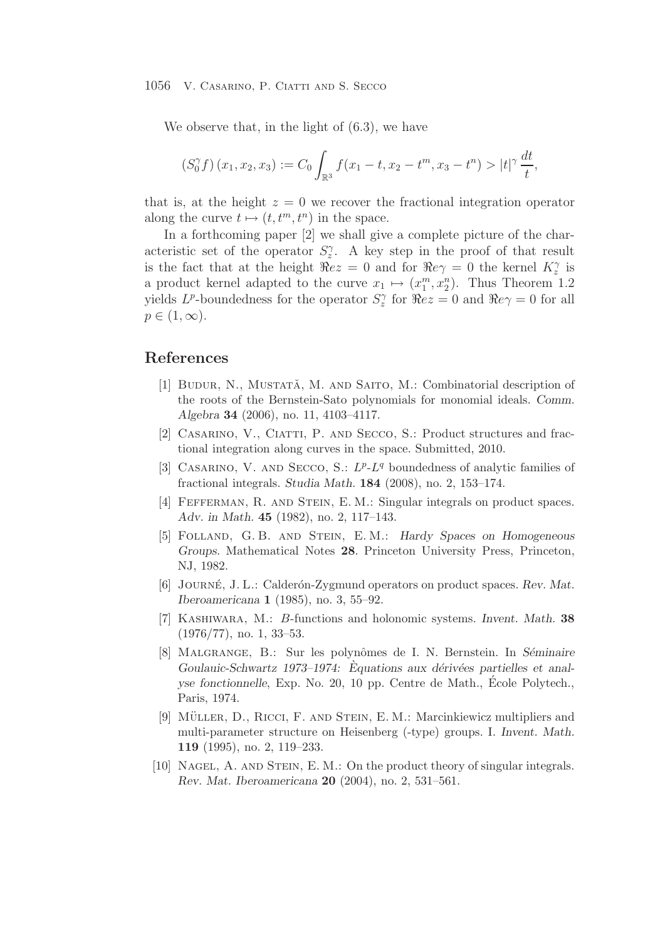We observe that, in the light of (6.3), we have

$$
(S_0^{\gamma} f) (x_1, x_2, x_3) := C_0 \int_{\mathbb{R}^3} f(x_1 - t, x_2 - t^m, x_3 - t^n) > |t|^{\gamma} \frac{dt}{t},
$$

that is, at the height  $z = 0$  we recover the fractional integration operator along the curve  $t \mapsto (t, t^m, t^n)$  in the space.

In a forthcoming paper [2] we shall give a complete picture of the characteristic set of the operator  $S_2^{\gamma}$ . A key step in the proof of that result is the fact that at the height  $\tilde{\Re}ez = 0$  and for  $\Re e\gamma = 0$  the kernel  $K_z^{\gamma}$  is a product kernel adapted to the curve  $x_1 \mapsto (x_1^m, x_2^n)$ . Thus Theorem 1.2 yields  $L^p$ -boundedness for the operator  $S_z^{\gamma}$  for  $\Re ez = 0$  and  $\Re e \gamma = 0$  for all  $p\in(1,\infty).$ 

# **References**

- [1] BUDUR, N., MUSTATĂ, M. AND SAITO, M.: Combinatorial description of the roots of the Bernstein-Sato polynomials for monomial ideals. *Comm. Algebra* **34** (2006), no. 11, 4103–4117.
- [2] Casarino, V., Ciatti, P. and Secco, S.: Product structures and fractional integration along curves in the space. Submitted, 2010.
- [3] CASARINO, V. AND SECCO, S.:  $L^p L^q$  boundedness of analytic families of fractional integrals. *Studia Math.* **184** (2008), no. 2, 153–174.
- [4] FEFFERMAN, R. AND STEIN, E. M.: Singular integrals on product spaces. *Adv. in Math.* **45** (1982), no. 2, 117–143.
- [5] Folland, G. B. and Stein, E. M.: *Hardy Spaces on Homogeneous Groups.* Mathematical Notes **28**. Princeton University Press, Princeton, NJ, 1982.
- [6] JOURNÉ, J. L.: Calderón-Zygmund operators on product spaces. Rev. Mat. *Iberoamericana* **1** (1985), no. 3, 55–92.
- [7] Kashiwara, M.: B-functions and holonomic systems. *Invent. Math.* **38**  $(1976/77)$ , no. 1, 33–53.
- [8] MALGRANGE, B.: Sur les polynômes de I. N. Bernstein. In *Séminaire Goulauic-Schwartz 1973–1974:* Equations aux dérivées partielles et anal*yse fonctionnelle*, Exp. No. 20, 10 pp. Centre de Math., Ecole Polytech., ´ Paris, 1974.
- [9] MÜLLER, D., RICCI, F. AND STEIN, E. M.: Marcinkiewicz multipliers and multi-parameter structure on Heisenberg (-type) groups. I. *Invent. Math.* **119** (1995), no. 2, 119–233.
- [10] Nagel, A. and Stein, E. M.: On the product theory of singular integrals. *Rev. Mat. Iberoamericana* **20** (2004), no. 2, 531–561.